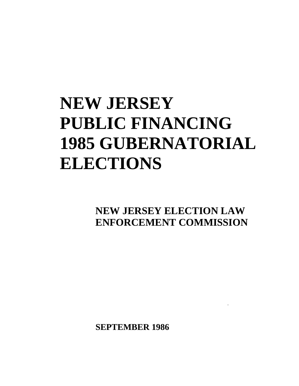# **NEW JERSEY PUBLIC FINANCING 1985 GUBERNATORIAL ELECTIONS**

**NEW JERSEY ELECTION LAW ENFORCEMENT COMMISSION**

I

**SEPTEMBER 1986**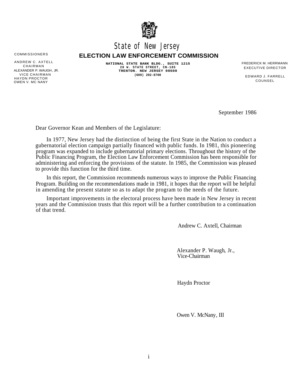

# State of New Jersey

## COMMISSIONERS **ELECTION LAW ENFORCEMENT COMMISSION**

ALEXANDER P. WAUGH, JR. VICE CHAIRMAN EDWARD J. FARRELL HAYDN PROCTOR COUNSEL OWEN V. MC NANY

ANDREW C. AXTELL **NATIONAL STATE BANK BLDG., SUITE 1215**<br>CHAIRMAN **CHAIRMAN** 28 W. STATE STREET, CN-185 FXECUTIVE DIRECTOR **28 W. STATE STREET, CN-185 TRENTON. NEW JERSEY 08608** CHAIRMAN EXECUTIVE DIRECTOR **(609) 292-8700**

September 1986

Dear Governor Kean and Members of the Legislature:

In 1977, New Jersey had the distinction of being the first State in the Nation to conduct a gubernatorial election campaign partially financed with public funds. In 1981, this pioneering program was expanded to include gubernatorial primary elections. Throughout the history of the Public Financing Program, the Election Law Enforcement Commission has been responsible for administering and enforcing the provisions of the statute. In 1985, the Commission was pleased to provide this function for the third time.

In this report, the Commission recommends numerous ways to improve the Public Financing Program. Building on the recommendations made in 1981, it hopes that the report will be helpful in amending the present statute so as to adapt the program to the needs of the future.

Important improvements in the electoral process have been made in New Jersey in recent years and the Commission trusts that this report will be a further contribution to a continuation of that trend.

Andrew C. Axtell, Chairman

Alexander P. Waugh, Jr., Vice-Chairman

Haydn Proctor

Owen V. McNany, III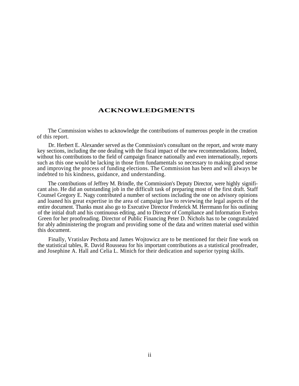#### **ACKNOWLEDGMENTS**

The Commission wishes to acknowledge the contributions of numerous people in the creation of this report.

Dr. Herbert E. Alexander served as the Commission's consultant on the report, and wrote many key sections, including the one dealing with the fiscal impact of the new recommendations. Indeed, without his contributions to the field of campaign finance nationally and even internationally, reports such as this one would be lacking in those firm fundamentals so necessary to making good sense and improving the process of funding elections. The Commission has been and will always be indebted to his kindness, guidance, and understanding.

The contributions of Jeffrey M. Brindle, the Commission's Deputy Director, were highly significant also. He did an outstanding job in the difficult task of preparing most of the first draft. Staff Counsel Gregory E. Nagy contributed a number of sections including the one on advisory opinions and loaned his great expertise in the area of campaign law to reviewing the legal aspects of the entire document. Thanks must also go to Executive Director Frederick M. Herrmann for his outlining of the initial draft and his continuous editing, and to Director of Compliance and Information Evelyn Green for her proofreading. Director of Public Financing Peter D. Nichols has to be congratulated for ably administering the program and providing some of the data and written material used within this document.

Finally, Vratislav Pechota and James Wojtowicz are to be mentioned for their fine work on the statistical tables, R. David Rousseau for his important contributions as a statistical proofreader, and Josephine A. Hall and Celia L. Minich for their dedication and superior typing skills.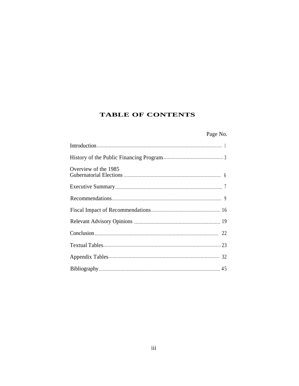# **TABLE OF CONTENTS**

# Page No.

| Overview of the 1985 |
|----------------------|
|                      |
|                      |
|                      |
|                      |
|                      |
|                      |
|                      |
|                      |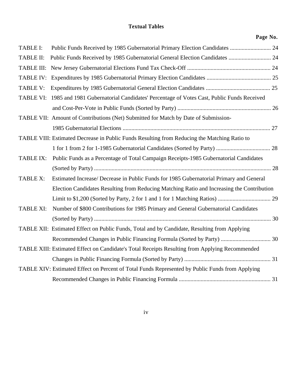# **Textual Tables**

| age | No. |  |
|-----|-----|--|
|     |     |  |

| <b>TABLE I:</b>  |                                                                                                   |  |
|------------------|---------------------------------------------------------------------------------------------------|--|
| <b>TABLE II:</b> | Public Funds Received by 1985 Gubernatorial General Election Candidates  24                       |  |
|                  |                                                                                                   |  |
|                  |                                                                                                   |  |
| <b>TABLE V:</b>  |                                                                                                   |  |
|                  | TABLE VI: 1985 and 1981 Gubernatorial Candidates' Percentage of Votes Cast, Public Funds Received |  |
|                  |                                                                                                   |  |
|                  | TABLE VII: Amount of Contributions (Net) Submitted for Match by Date of Submission-               |  |
|                  |                                                                                                   |  |
|                  | TABLE VIII: Estimated Decrease in Public Funds Resulting from Reducing the Matching Ratio to      |  |
|                  |                                                                                                   |  |
| TABLE IX:        | Public Funds as a Percentage of Total Campaign Receipts-1985 Gubernatorial Candidates             |  |
|                  |                                                                                                   |  |
| TABLE X:         | Estimated Increase/ Decrease in Public Funds for 1985 Gubernatorial Primary and General           |  |
|                  | Election Candidates Resulting from Reducing Matching Ratio and Increasing the Contribution        |  |
|                  |                                                                                                   |  |
| <b>TABLE XI:</b> | Number of \$800 Contributions for 1985 Primary and General Gubernatorial Candidates               |  |
|                  |                                                                                                   |  |
|                  | TABLE XII: Estimated Effect on Public Funds, Total and by Candidate, Resulting from Applying      |  |
|                  |                                                                                                   |  |
|                  | TABLE XIII: Estimated Effect on Candidate's Total Receipts Resulting from Applying Recommended    |  |
|                  |                                                                                                   |  |
|                  | TABLE XIV: Estimated Effect on Percent of Total Funds Represented by Public Funds from Applying   |  |
|                  |                                                                                                   |  |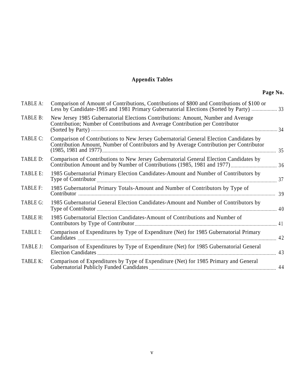# **Appendix Tables**

| TABLE A:        | Comparison of Amount of Contributions, Contributions of \$800 and Contributions of \$100 or<br>Less by Candidate-1985 and 1981 Primary Gubernatorial Elections (Sorted by Party)  33 |    |
|-----------------|--------------------------------------------------------------------------------------------------------------------------------------------------------------------------------------|----|
| TABLE B:        | New Jersey 1985 Gubernatorial Elections Contributions: Amount, Number and Average<br>Contribution; Number of Contributions and Average Contribution per Contributor                  |    |
| TABLE C:        | Comparison of Contributions to New Jersey Gubernatorial General Election Candidates by<br>Contribution Amount, Number of Contributors and by Average Contribution per Contributor    | 35 |
| TABLE D:        | Comparison of Contributions to New Jersey Gubernatorial General Election Candidates by                                                                                               |    |
| TABLE E:        | 1985 Gubernatorial Primary Election Candidates-Amount and Number of Contributors by                                                                                                  | 37 |
| TABLE F:        | 1985 Gubernatorial Primary Totals-Amount and Number of Contributors by Type of                                                                                                       |    |
| TABLE G:        | 1985 Gubernatorial General Election Candidates-Amount and Number of Contributors by                                                                                                  |    |
| <b>TABLE H:</b> | 1985 Gubernatorial Election Candidates-Amount of Contributions and Number of                                                                                                         |    |
| TABLE I:        | Comparison of Expenditures by Type of Expenditure (Net) for 1985 Gubernatorial Primary                                                                                               | 42 |
| TABLE J:        | Comparison of Expenditures by Type of Expenditure (Net) for 1985 Gubernatorial General                                                                                               |    |
| TABLE K:        | Comparison of Expenditures by Type of Expenditure (Net) for 1985 Primary and General                                                                                                 |    |
|                 |                                                                                                                                                                                      |    |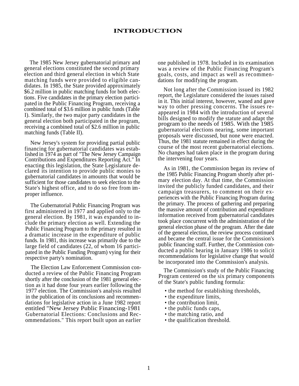#### **INTRODUCTION**

The 1985 New Jersey gubernatorial primary and general elections constituted the second primary election and third general election in which State matching funds were provided to eligible candidates. In 1985, the State provided approximately \$6.2 million in public matching funds for both elections. Five candidates in the primary election participated in the Public Financing Program, receiving a combined total of \$3.6 million in public funds (Table I). Similarly, the two major party candidates in the general election both participated in the program, receiving a combined total of \$2.6 million in public matching funds (Table II).

New Jersey's system for providing partial public financing for gubernatorial candidates was established in 1974 as part of "The New Jersey Campaign Contributions and Expenditures Reporting Act." In enacting this legislation, the State Legislature declared its intention to provide public monies to gubernatorial candidates in amounts that would be sufficient for those candidates to seek election to the State's highest office, and to do so free from improper influence.

The Gubernatorial Public Financing Program was first administered in 1977 and applied only to the general election. By 1981, it was expanded to include the primary election as well. Extending the Public Financing Program to the primary resulted in a dramatic increase in the expenditure of public funds. In 1981, this increase was primarily due to the large field of candidates (22, of whom 16 participated in the Public Funding Program) vying for their respective party's nomination.

The Election Law Enforcement Commission conducted a review of the Public Financing Program shortly after the conclusion of the 1981 general election as it had done four years earlier following the 1977 election. The Commission's analysis resulted in the publication of its conclusions and recommendations for legislative action in a June 1982 report entitled "New Jersey Public Financing-1981 Gubernatorial Elections: Conclusions and Recommendations." This report built upon an earlier

one published in 1978. Included in its examination was a review of the Public Financing Program's goals, costs, and impact as well as recommendations for modifying the program.

Not long after the Commission issued its 1982 report, the Legislature considered the issues raised in it. This initial interest, however, waned and gave way to other pressing concerns. The issues reappeared in 1984 with the introduction of several bills designed to modify the statute and adapt the program to the needs of 1985. With the 1985 gubernatorial elections nearing, some important proposals were discussed, but none were enacted. Thus, the 1981 statute remained in effect during the course of the most recent gubernatorial elections. No changes had taken place in the program during the intervening four years.

As in 1981, the Commission began its review of the 1985 Public Financing Program shortly after primary election day. At that time, the Commission invited the publicly funded candidates, and their campaign treasurers, to comment on their experiences with the Public Financing Program during the primary. The process of gathering and preparing the massive amount of contribution and expenditure information received from gubernatorial candidates took place concurrent with the administration of the general election phase of the program. After the date of the general election, the review process continued and became the central issue for the Commission's public financing staff. Further, the Commission conducted a public hearing in January 1986 to solicit recommendations for legislative change that would be incorporated into the Commission's analysis.

The Commission's study of the Public Financing Program centered on the six primary components of the State's public funding formula:

- the method for establishing thresholds,
- the expenditure limits,
- the contribution limit,
- the public funds caps,
- the matching ratio, and
- the qualification threshold.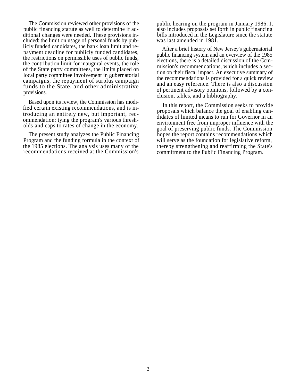The Commission reviewed other provisions of the public financing statute as well to determine if additional changes were needed. These provisions included: the limit on usage of personal funds by publicly funded candidates, the bank loan limit and repayment deadline for publicly funded candidates, the restrictions on permissible uses of public funds, the contribution limit for inaugural events, the role of the State party committees, the limits placed on local party committee involvement in gubernatorial campaigns, the repayment of surplus campaign funds to the State, and other administrative provisions.

Based upon its review, the Commission has modified certain existing recommendations, and is introducing an entirely new, but important, recommendation: tying the program's various thresholds and caps to rates of change in the economy.

The present study analyzes the Public Financing Program and the funding formula in the context of the 1985 elections. The analysis uses many of the recommendations received at the Commission's

public hearing on the program in January 1986. It also includes proposals set forth in public financing bills introduced in the Legislature since the statute was last amended in 1981.

After a brief history of New Jersey's gubernatorial public financing system and an overview of the 1985 elections, there is a detailed discussion of the Commission's recommendations, which includes a section on their fiscal impact. An executive summary of the recommendations is provided for a quick review and an easy reference. There is also a discussion of pertinent advisory opinions, followed by a conclusion, tables, and a bibliography.

In this report, the Commission seeks to provide proposals which balance the goal of enabling candidates of limited means to run for Governor in an environment free from improper influence with the goal of preserving public funds. The Commission hopes the report contains recommendations which will serve as the foundation for legislative reform, thereby strengthening and reaffirming the State's commitment to the Public Financing Program.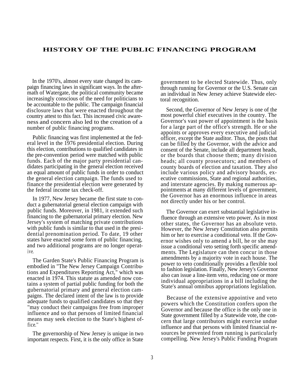#### **HISTORY OF THE PUBLIC FINANCING PROGRAM**

In the 1970's, almost every state changed its campaign financing laws in significant ways. In the aftermath of Watergate, the political community became increasingly conscious of the need for politicians to be accountable to the public. The campaign financial disclosure laws that were enacted throughout the country attest to this fact. This increased civic awareness and concern also led to the creation of a number of public financing programs.

Public financing was first implemented at the federal level in the 1976 presidential election. During this election, contributions to qualified candidates in the pre-convention period were matched with public funds. Each of the major party presidential candidates participating in the general election received an equal amount of public funds in order to conduct the general election campaign. The funds used to finance the presidential election were generated by the federal income tax check-off.

In 1977, New Jersey became the first state to conduct a gubernatorial general election campaign with public funds. Moreover, in 1981, it extended such financing to the gubernatorial primary election. New Jersey's system of matching private contributions with public funds is similar to that used in the presidential prenomination period. To date, 19 other states have enacted some form of public financing, and two additional programs are no longer operative.

The Garden State's Public Financing Program is embodied in "The New Jersey Campaign Contributions and Expenditures Reporting Act," which was enacted in 1974. This statute as amended now contains a system of partial public funding for both the gubernatorial primary and general election campaigns. The declared intent of the law is to provide adequate funds to qualified candidates so that they ''may conduct their campaigns free from improper influence and so that persons of limited financial means may seek election to the State's highest office.''

The governorship of New Jersey is unique in two important respects. First, it is the only office in State government to be elected Statewide. Thus, only through running for Governor or the U.S. Senate can an individual in New Jersey achieve Statewide electoral recognition.

Second, the Governor of New Jersey is one of the most powerful chief executives in the country. The Governor's vast power of appointment is the basis for a large part of the office's strength. He or she appoints or approves every executive and judicial officer, except the State auditor. Thus, the posts that can be filled by the Governor, with the advice and consent of the Senate, include all department heads, or the boards that choose them; many division heads; all county prosecutors; and members of county boards of election and taxation. They also include various policy and advisory boards, executive commissions, State and regional authorities, and interstate agencies. By making numerous appointments at many different levels of government, the Governor has an enormous influence in areas not directly under his or her control.

The Governor can exert substantial legislative influence through an extensive veto power. As in most other states, the Governor has an absolute veto. However, the New Jersey Constitution also permits him or her to exercise a conditional veto. If the Governor wishes only to amend a bill, he or she may issue a conditional veto setting forth specific amendments. The Legislature can then concur in those amendments by a majority vote in each house. The power to veto conditionally provides a flexible tool to fashion legislation. Finally, New Jersey's Governor also can issue a line-item veto, reducing one or more individual appropriations in a bill including the State's annual omnibus appropriations legislation.

Because of the extensive appointive and veto powers which the Constitution confers upon the Governor and because the office is the only one in State government filled by a Statewide vote, the concern that large contributors might exercise undue influence and that persons with limited financial resources be prevented from running is particularly compelling. New Jersey's Public Funding Program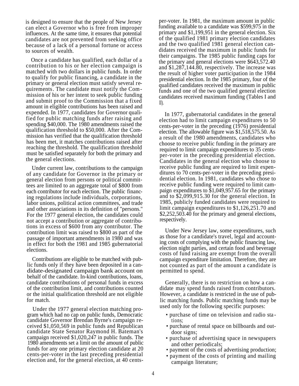is designed to ensure that the people of New Jersey can elect a Governor who is free from improper influences. At the same time, it ensures that potential candidates are not prevented from seeking office because of a lack of a personal fortune or access to sources of wealth.

Once a candidate has qualified, each dollar of a contribution to his or her election campaign is matched with two dollars in public funds. In order to qualify for public financing, a candidate in the primary or general election must satisfy several requirements. The candidate must notify the Commission of his or her intent to seek public funding and submit proof to the Commission that a fixed amount in eligible contributions has been raised and expended. In 1977, candidates for Governor qualified for public matching funds after raising and spending \$40,000. The 1980 amendments raised the qualification threshold to \$50,000. After the Commission has verified that the qualification threshold has been met, it matches contributions raised after reaching the threshold. The qualification threshold must be satisfied separately for both the primary and the general elections.

Under current law, contributions to the campaign of any candidate for Governor in the primary or general election from persons or political committees are limited to an aggregate total of \$800 from each contributor for each election. The public financing regulations include individuals, corporations, labor unions, political action committees, and trade and other associations in its definition of ''persons.'' For the 1977 general election, the candidates could not accept a contribution or aggregate of contributions in excess of \$600 from any contributor. The contribution limit was raised to \$800 as part of the passage of important amendments in 1980 and was in effect for both the 1981 and 1985 gubernatorial elections.

Contributions are eligible to be matched with public funds only if they have been deposited in a candidate-designated campaign bank account on behalf of the candidate. In-kind contributions, loans, candidate contributions of personal funds in excess of the contribution limit, and contributions counted or the initial qualification threshold are not eligible for match.

gram which had no cap on public funds, Democratic candidate Governor Brendan Byrne's campaign received \$1,050,569 in public funds and Republican candidate State Senator Raymond H. Bateman's campaign received \$1,020,247 in public funds. The • purchase of advertising space in newspapers 1980 amendments set a limit on the amount of public funds for any one primary election candidate at 20 cents-per-voter in the last preceding presidential election and, for the general election, at 40 cents-

per-voter. In 1981, the maximum amount in public funding available to a candidate was \$599,975 in the primary and \$1,199,951 in the general election. Six of the qualified 1981 primary election candidates and the two qualified 1981 general election candidates received the maximum in public funds for their campaigns. The 1985 public funding caps for the primary and general elections were \$643,572.40 and \$1,287,144.80, respectively. The increase was the result of higher voter participation in the 1984 presidential election. In the 1985 primary, four of the qualified candidates received the maximum in public funds and one of the two qualified general election candidates received maximum funding (Tables I and II).

In 1977, gubernatorial candidates in the general election had to limit campaign expenditures to 50 cents-per-voter in the preceding (1976) presidential election. The allowable figure was \$1,518,575.50. As a result of the 1980 amendments, candidates who choose to receive public funding in the primary are required to limit campaign expenditures to 35 centsper-voter in the preceding presidential election. Candidates in the general election who choose to receive public funding are required to limit expenditures to 70 cents-per-voter in the preceding presidential election. In 1981, candidates who chose to receive public funding were required to limit campaign expenditures to \$1,049,957.65 for the primary and to \$2,099,915.30 for the general election. In 1985, publicly funded candidates were required to limit campaign expenditures to \$1,126,251.70 and \$2,252,503.40 for the primary and general elections, respectively.

Under New Jersey law, some expenditures, such as those for a candidate's travel, legal and accounting costs of complying with the public financing law, election night parties, and certain food and beverage costs of fund raising are exempt from the overall campaign expenditure limitation. Therefore, they are not counted as part of the amount a candidate is permitted to spend.

Generally, there is no restriction on how a candidate may spend funds raised from contributors. However, a candidate is restricted in the use of public matching funds. Public matching funds may be Under the 1977 general election matching pro-<br>used only for the following specific purposes:

- purchase of time on television and radio sta tions;
- purchase of rental space on billboards and outdoor signs;
- and other periodicals;
- payment of the costs of advertising production;
- payment of the costs of printing and mailing campaign literature;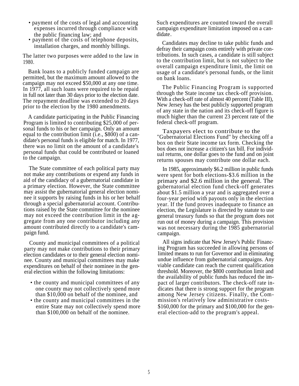- expenses incurred through compliance with the public financing law; and
- payment of the costs of telephone deposits,

The latter two purposes were added to the law in 1980.

Bank loans to a publicly funded campaign are permitted, but the maximum amount allowed to the campaign may not exceed \$50,000 at any one time. In 1977, all such loans were required to be repaid in full not later than 30 days prior to the election date. The repayment deadline was extended to 20 days prior to the election by the 1980 amendments.

A candidate participating in the Public Financing Program is limited to contributing \$25,000 of personal funds to his or her campaign. Only an amount equal to the contribution limit (i.e., \$800) of a candidate's personal funds is eligible for match. In 1977, there was no limit on the amount of a candidate's personal funds that could be contributed or loaned to the campaign.

The State committee of each political party may not make any contributions or expend any funds in aid of the candidacy of a gubernatorial candidate in a primary election. However, the State committee may assist the gubernatorial general election nominee it supports by raising funds in his or her behalf through a special gubernatorial account. Contributions raised by the State committee for the nominee may not exceed the contribution limit in the aggregate from any one contributor including any amount contributed directly to a candidate's campaign fund.

County and municipal committees of a political party may not make contributions to their primary election candidates or to their general election nominee. County and municipal committees may make expenditures on behalf of their nominee in the general election within the following limitations:

- the county and municipal committees of any one county may not collectively spend more
- entire State may not collectively spend more than \$100,000 on behalf of the nominee.

• payment of the costs of legal and accounting Such expenditures are counted toward the overall campaign expenditure limitation imposed on a candidate.

Installation charges, and monthly billings.<br>
Action their compaign costs ortically with given and and<br>
defeat their compaign costs ortically with given and defray their campaign costs entirely with private contributions. In such cases, a candidate is still subject to the contribution limit, but is not subject to the overall campaign expenditure limit, the limit on usage of a candidate's personal funds, or the limit on bank loans.

> The Public Financing Program is supported through the State income tax check-off provision. With a check-off rate of almost 40 percent (Table III), New Jersey has the best publicly supported program of any state in the nation and its check-off figure is much higher than the current 23 percent rate of the federal check-off program.

> Taxpayers elect to contribute to the ''Gubernatorial Elections Fund'' by checking off a box on their State income tax form. Checking the box does not increase a citizen's tax bill. For individual returns, one dollar goes to the fund and on joint returns spouses may contribute one dollar each.

> In 1985, approximately \$6.2 million in public funds were spent for both elections-\$3.6 million in the primary and \$2.6 million in the general. The gubernatorial election fund check-off generates about \$1.5 million a year and is aggregated over a four-year period with payouts only in the election year. If the fund proves inadequate to finance an election, the Legislature is directed by statute to use general treasury funds so that the program does not run out of money during a campaign. This provision was not necessary during the 1985 gubernatorial campaign.

All signs indicate that New Jersey's Public Financing Program has succeeded in allowing persons of limited means to run for Governor and in eliminating undue influence from gubernatorial campaigns. Any viable candidate can reach the current qualification threshold. Moreover, the \$800 contribution limit and the availability of public funds has reduced the impact of larger contributors. The check-off rate indicates that there is strong support for the program than \$10,000 on behalf of the nominee, and among New Jersey citizens. Finally, the Com- • the county and municipal committees in the mission's relatively low administrative costs- \$160,000 for the primary and \$100,000 for the general election-add to the program's appeal.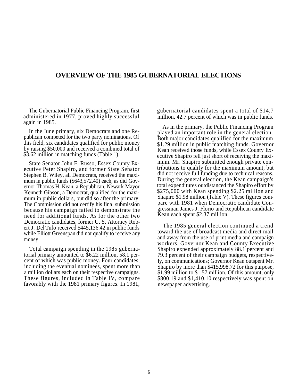### **OVERVIEW OF THE 1985 GUBERNATORIAL ELECTIONS**

The Gubernatorial Public Financing Program, first administered in 1977, proved highly successful again in 1985.

In the June primary, six Democrats and one Republican competed for the two party nominations. Of this field, six candidates qualified for public money by raising \$50,000 and received a combined total of \$3.62 million in matching funds (Table 1).

State Senator John F. Russo, Essex County Executive Peter Shapiro, and former State Senator Stephen B. Wiley, all Democrats, received the maximum in public funds (\$643,572.40) each, as did Governor Thomas H. Kean, a Republican. Newark Mayor Kenneth Gibson, a Democrat, qualified for the maximum in public dollars, but did so after the primary. The Commission did not certify his final submission because his campaign failed to demonstrate the need for additional funds. As for the other two Democratic candidates, former U. S. Attorney Robert J. Del Tufo received \$445,136.42 in public funds while Elliott Greenspan did not qualify to receive any money.

Total campaign spending in the 1985 gubernatorial primary amounted to \$6.22 million, 58.1 percent of which was public money. Four candidates, including the eventual nominees, spent more than a million dollars each on their respective campaigns. These figures, included in Table IV, compare favorably with the 1981 primary figures. In 1981,

gubernatorial candidates spent a total of \$14.7 million, 42.7 percent of which was in public funds.

As in the primary, the Public Financing Program played an important role in the general election. Both major candidates qualified for the maximum \$1.29 million in public matching funds. Governor Kean received those funds, while Essex County Executive Shapiro fell just short of receiving the maximum. Mr. Shapiro submitted enough private contributions to qualify for the maximum amount, but did not receive full funding due to technical reasons. During the general election, the Kean campaign's total expenditures outdistanced the Shapiro effort by \$275,000 with Kean spending \$2.25 million and Shapiro \$1.98 million (Table V). These figures compare with 1981 when Democratic candidate Congressman James J. Florio and Republican candidate Kean each spent \$2.37 million.

The 1985 general election continued a trend toward the use of broadcast media and direct mail and away from the use of print media and campaign workers. Governor Kean and County Executive Shapiro expended approximately 88.1 percent and 79.3 percent of their campaign budgets, respectively, on communications; Governor Kean outspent Mr. Shapiro by more than \$415,998.72 for this purpose, \$1.99 million to \$1.57 million. Of this amount, only \$800.19 and \$1,410.10 respectively was spent on newspaper advertising.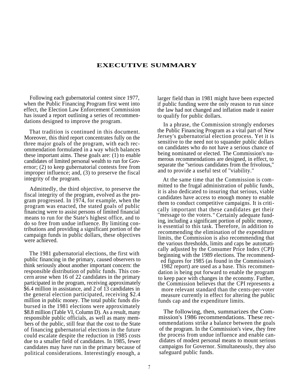#### **EXECUTIVE SUMMARY**

Following each gubernatorial contest since 1977, when the Public Financing Program first went into effect, the Election Law Enforcement Commission has issued a report outlining a series of recommendations designed to improve the program.

That tradition is continued in this document. Moreover, this third report concentrates fully on the three major goals of the program, with each recommendation formulated in a way which balances these important aims. These goals are: (1) to enable candidates of limited personal wealth to run for Governor; (2) to keep gubernatorial contests free from improper influence; and, (3) to preserve the fiscal integrity of the program. At the same time that the Commission is com-

Admittedly, the third objective, to preserve the fiscal integrity of the program, evolved as the program progressed. In 1974, for example, when the program was enacted, the stated goals of public financing were to assist persons of limited financial means to run for the State's highest office, and to do so free from undue influence. By limiting contributions and providing a significant portion of the campaign funds in public dollars, these objectives were achieved.

The 1981 gubernatorial elections, the first with public financing in the primary, caused observers to think seriously about another important concern: the responsible distribution of public funds. This concern arose when 16 of 22 candidates in the primary participated in the program, receiving approximately \$6.4 million in assistance, and 2 of 13 candidates in the general election participated, receiving \$2.4 million in public money. The total public funds disbursed in the 1981 elections were approximately \$8.8 million (Table VI, Column D). As a result, many responsible public officials, as well as many members of the public, still fear that the cost to the State of financing gubernatorial elections in the future could escalate despite the reduction in 1985 costs due to a smaller field of candidates. In 1985, fewer candidates may have run in the primary because of political considerations. Interestingly enough, a

larger field than in 1981 might have been expected if public funding were the only reason to run since the law had not changed and inflation made it easier to qualify for public dollars.

In a phrase, the Commission strongly endorses the Public Financing Program as a vital part of New Jersey's gubernatorial election process. Yet it is sensitive to the need not to squander public dollars on candidates who do not have a serious chance of being nominated or elected. The Commission's numerous recommendations are designed, in effect, to separate the ''serious candidates from the frivolous,'' and to provide a useful test of ''viability.''

mitted to the frugal administration of public funds, it is also dedicated to insuring that serious, viable candidates have access to enough money to enable them to conduct competitive campaigns. It is critically important that these candidates get their ''message to the voters. " Certainly adequate funding, including a significant portion of public money, is essential to this task. Therefore, in addition to recommending the elimination of the expenditure limits, the Commission is also recommending that the various thresholds, limits and caps be automatically adjusted by the Consumer Price Index (CPI) beginning with the 1989 elections. The recommended figures for 1985 (as found in the Commission's

1982 report) are used as a base. This recommendation is being put forward to enable the program to keep pace with changes in the economy. Further, the Commission believes that the CPI represents a more relevant standard than the cents-per-voter measure currently in effect for altering the public funds cap and the expenditure limits.

The following, then, summarizes the Commission's 1986 recommendations. These recommendations strike a balance between the goals of the program. In the Commission's view, they free the process from undue influence and enable candidates of modest personal means to mount serious campaigns for Governor. Simultaneously, they also safeguard public funds.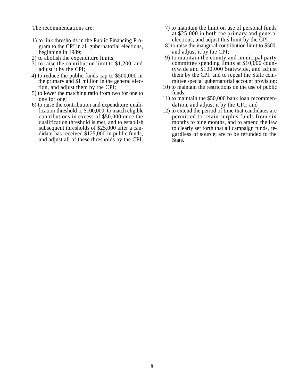- 1) to link thresholds in the Public Financing Pro- elections, and adjust this limit by the CPI; beginning in 1989; and adjust it by the CPI;<br>2) to abolish the expenditure limits; 9) to maintain the county a
- 
- 3) to raise the contribution limit to \$1,200, and adjust it by the CPI;
- 4) to reduce the public funds cap to \$500,000 in the primary and \$1 million in the general elec- mittee special gubernatorial account provision;
- 5) to lower the matching ratio from two for one to funds;
- 6) to raise the contribution and expenditure quali- dation, and adjust it by the CPI; and contributions in excess of \$50,000 once the qualification threshold is met, and to establish subsequent thresholds of \$25,000 after a candidate has received \$125,000 in public funds, and adjust all of these thresholds by the CPI;
- The recommendations are:  $\frac{7}{2}$  to maintain the limit on use of personal funds at \$25,000 in both the primary and general
	- gram to the CPI in all gubernatorial elections,  $\qquad \qquad$  8) to raise the inaugural contribution limit to \$500,
		- 9) to maintain the county and municipal party committee spending limits at \$10,000 countywide and \$100,000 Statewide, and adjust them by the CPI, and to repeal the State com-
	- tion, and adjust them by the CPI; 10) to maintain the restrictions on the use of public
	- one for one: 11) to maintain the \$50,000 bank loan recommen-
	- fication threshold to \$100,000, to match eligible 12) to extend the period of time that candidates are permitted to retain surplus funds from six months to nine months, and to amend the law to clearly set forth that all campaign funds, regardless of source, are to be refunded to the State.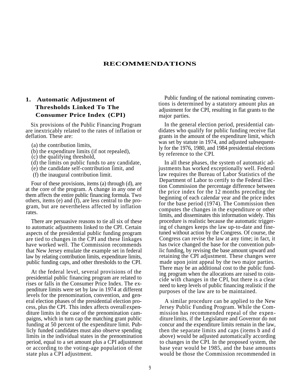#### **RECOMMENDATIONS**

# **Thresholds Linked To The Consumer Price Index (CPI)**

Six provisions of the Public Financing Program are inextricably related to the rates of inflation or deflation. These are:

- (a) the contribution limits,
- (b) the expenditure limits (if not repealed),
- (c) the qualifying threshold,
- (d) the limits on public funds to any candidate,
- (e) the candidate self-contribution limit, and
- (f) the inaugural contribution limit.

Four of these provisions, items (a) through (d), are at the core of the program. A change in any one of them affects the entire public financing formula. Two others, items (e) and (f), are less central to the program, but are nevertheless affected by inflation rates.

There are persuasive reasons to tie all six of these to automatic adjustments linked to the CPI. Certain aspects of the presidential public funding program are tied to changes in the CPI and these linkages have worked well. The Commission recommends that New Jersey emulate the example set in federal law by relating contribution limits, expenditure limits, public funding caps, and other thresholds to the CPI.

At the federal level, several provisions of the presidential public financing program are related to rises or falls in the Consumer Price Index. The expenditure limits were set by law in 1974 at different levels for the prenomination, convention, and general election phases of the presidential election process, plus the CPI. This index affects overall expenditure limits in the case of the prenomination campaigns, which in turn cap the matching grant public funding at 50 percent of the expenditure limit. Publicly funded candidates must also observe spending limits in the individual states in the prenomination period, equal to a set amount plus a CPI adjustment or according to the voting-age population of the state plus a CPI adjustment.

**1.** Automatic Adjustment of Public funding of the national nominating conventions is determined by a statutory amount plus an adjustment for the CPI, resulting in flat grants to the major parties.

> In the general election period, presidential candidates who qualify for public funding receive flat grants in the amount of the expenditure limit, which was set by statute in 1974, and adjusted subsequently for the 1976, 1980, and 1984 presidential elections by reference to the CPI.

> In all these phases, the system of automatic adjustments has worked exceptionally well. Federal law requires the Bureau of Labor Statistics of the Department of Labor to certify to the Federal Election Commission the percentage difference between the price index for the 12 months preceding the beginning of each calendar year and the price index for the base period (1974). The Commission then computes the changes in the expenditure or other limits, and disseminates this information widely. This procedure is realistic because the automatic triggering of changes keeps the law up-to-date and finetuned without action by the Congress. Of course, the Congress can revise the law at any time; in fact, it has twice changed the base for the convention public funding, by revising the base amount upward and retaining the CPI adjustment. These changes were made upon joint appeal by the two major parties. There may be an additional cost to the public funding program when the allocations are raised to coincide with changes in the CPI, but there is a clear need to keep levels of public financing realistic if the purposes of the law are to be maintained.

> A similar procedure can be applied to the New Jersey Public Funding Program. While the Commission has recommended repeal of the expenditure limits, if the Legislature and Governor do not concur and the expenditure limits remain in the law, then the separate limits and caps (items b and d above) would be adjusted automatically according to changes in the CPI. In the proposed system, the base year would be 1985, and the base amounts would be those the Commission recommended in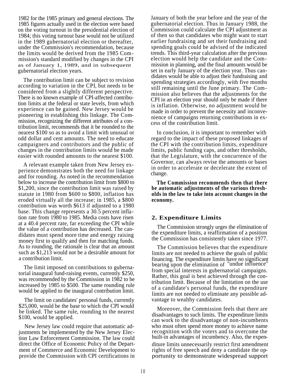1982 for the 1985 primary and general elections. The 1985 figures actually used in the election were based on the voting turnout in the presidential election of 1984; this voting turnout base would not be utilized in the 1989 gubernatorial election or thereafter, under the Commission's recommendation, because the limits would be derived from the 1985 Commission's standard modified by changes in the CPI as of January 1, 1989, and in subsequent gubernatorial election years.

The contribution limit can be subject to revision according to variation in the CPI, but needs to be considered from a slightly different perspective. There is no known example of CPI-affected contribution limits at the federal or state levels, from which experience can be gained. New Jersey would be pioneering in establishing this linkage. The Commission, recognizing the different attributes of a contribution limit, recommends that it be rounded to the nearest \$100 so as to avoid a limit with unusual or odd dollar and cent amounts. The need to educate campaigners and contributors and the public of changes in the contribution limits would be made easier with rounded amounts to the nearest \$100.

A relevant example taken from New Jersey experience demonstrates both the need for linkage and for rounding. As noted in the recommendation below to increase the contribution limit from \$800 to \$1,200, since the contribution limit was raised by statute in 1980 from \$600 to \$800, inflation has eroded virtually all the increase; in 1985, a \$800 contribution was worth \$613 if adjusted to a 1980 base. This change represents a 30.5 percent inflation rate from 1980 to 1985. Media costs have risen at a 40.4 percent rate, far exceeding the CPI while the value of a contribution has decreased. The candidates must spend more time and energy raising money first to qualify and then for matching funds. As to rounding, the rationale is clear that an amount such as \$1,213 would not be a desirable amount for a contribution limit.

The limit imposed on contributions to gubernatorial inaugural fund-raising events, currently \$250, was recommended by the Commission in 1982 to be increased by 1985 to \$500. The same rounding rule would be applied to the inaugural contribution limit.

The limit on candidates' personal funds, currently \$25,000, would be the base to which the CPI would be linked. The same rule, rounding to the nearest \$100, would be applied.

New Jersey law could require that automatic adjustments be implemented by the New Jersey Election Law Enforcement Commission. The law could direct the Office of Economic Policy of the Department of Commerce and Economic Development to provide the Commission with CPI certifications in

January of both the year before and the year of the gubernatorial election. Thus in January 1988, the Commission could calculate the CPI adjustment as of then so that candidates who might want to start earlier fundraising and set their fundraising and spending goals could be advised of the indicated trends. This third-year calculation after the previous election would help the candidate and the Commission in planning, and the final amounts would be set in early January of the election year. Thus candidates would be able to adjust their fundraising and spending strategies accordingly, with five months still remaining until the June primary. The Commission also believes that the adjustments for the CPI in an election year should only be made if there is inflation. Otherwise, no adjustment would be made in order to prevent the necessity and inconvenience of campaigns returning contributions in excess of the contribution limit.

In conclusion, it is important to remember with regard to the impact of these proposed linkages of the CPI with the contribution limits, expenditure limits, public funding caps, and other thresholds, that the Legislature, with the concurrence of the Governor, can always revise the amounts or bases in order to accelerate or decelerate the extent of change.

**The Commission recommends then that there be automatic adjustments of the various thresholds in the law to take into account changes in the economy.**

#### **2. Expenditure Limits**

The Commission strongly urges the elimination of the expenditure limits, a reaffirmation of a position the Commission has consistently taken since 1977.

The Commission believes that the expenditure limits are not needed to achieve the goals of public financing. The expenditure limits have no significant bearing upon the elimination of ''undue influence'' from special interests in gubernatorial campaigns. Rather, this goal is best achieved through the contribution limit. Because of the limitation on the use of a candidate's personal funds, the expenditure limits are not needed to eliminate any possible advantage to wealthy candidates.

Moreover, the Commission feels that there are disadvantages to such limits. The expenditure limits can work to the disadvantage of non-incumbents who must often spend more money to achieve name recognition with the voters and to overcome the built-in advantages of incumbency. Also, the expenditure limits unnecessarily restrict first amendment rights of free speech and deny a candidate the opportunity to demonstrate widespread support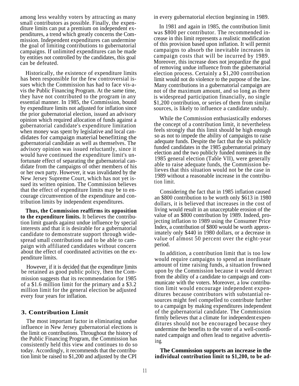among less wealthy voters by attracting as many in every gubernatorial election beginning in 1989. small contributors as possible. Finally, the expenditure limits can put a premium on independent expenditures, a trend which greatly concerns the Commission. Independent expenditures can undermine the goal of limiting contributions to gubernatorial campaigns. If unlimited expenditures can be made by entities not controlled by the candidates, this goal can be defeated.

Historically, the existence of expenditure limits has been responsible for the few controversial issues which the Commission has had to face vis-avis the Public Financing Program. At the same time, they have not contributed to the program in any essential manner. In 1985, the Commission, bound by expenditure limits not adjusted for inflation since the prior gubernatorial election, issued an advisory opinion which required allocation of funds against a gubernatorial candidate's expenditure limitation when money was spent by legislative and local candidates for campaign material benefitting the gubernatorial candidate as well as themselves. The advisory opinion was issued reluctantly, since it would have continued the expenditure limit's unfortunate effect of separating the gubernatorial candidate from the campaigns of other members of his or her own party. However, it was invalidated by the New Jersey Supreme Court, which has not yet issued its written opinion. The Commission believes that the effect of expenditure limits may be to encourage circumvention of the expenditure and contribution limits by independent expenditures.

**Thus, the Commission reaffirms its opposition to the expenditure limits.** It believes the contribution limit guards against undue influence by special interests and that it is desirable for a gubernatorial candidate to demonstrate support through widespread small contributions and to be able to campaign with affiliated candidates without concern about the effect of coordinated activities on the expenditure limits.

However, if it is decided that the expenditure limits be retained as good public policy, then the Commission suggests that its recommendation for 1985 of a \$1.6 million limit for the primary and a \$3.2 million limit for the general election be adjusted every four years for inflation.

#### **3. Contribution Limit**

The most important factor in eliminating undue influence in New Jersey gubernatorial elections is the limit on contributions. Throughout the history of the Public Financing Program, the Commission has consistently held this view and continues to do so today. Accordingly, it recommends that the contribution limit be raised to \$1,200 and adjusted by the CPI

In 1981 and again in 1985, the contribution limit was \$800 per contributor. The recommended increase in this limit represents a realistic modification of this provision based upon inflation. It will permit campaigns to absorb the inevitable increases in campaign costs that will be incurred by 1989. Moreover, this increase does not jeopardize the goal of removing undue influence from the gubernatorial election process. Certainly a \$1,200 contribution limit would not do violence to the purpose of the law. Many contributions in a gubernatorial campaign are not of the maximum amount, and so long as there is widespread participation financially, no single \$1,200 contribution, or series of them from similar sources, is likely to influence a candidate unduly.

While the Commission enthusiastically endorses the concept of a contribution limit, it nevertheless feels strongly that this limit should be high enough so as not to impede the ability of campaigns to raise adequate funds. Despite the fact that the six publicly funded candidates in the 1985 gubernatorial primary election and the two publicly funded nominees in the 1985 general election (Table VII), were generally able to raise adequate funds, the Commission believes that this situation would not be the case in 1989 without a reasonable increase in the contribution limit.

Considering the fact that in 1985 inflation caused an \$800 contribution to be worth only \$613 in 1980 dollars, it is believed that increases in the cost of living would result in an unacceptable erosion of the value of an \$800 contribution by 1989. Indeed, projecting inflation to 1989 using the Consumer Price Index, a contribution of \$800 would be worth approximately only \$440 in 1980 dollars, or a decrease in value of almost 50 percent over the eight-year period.

In addition, a contribution limit that is too low would require campaigns to spend an inordinate amount of time raising funds, a situation frowned upon by the Commission because it would detract from the ability of a candidate to campaign and communicate with the voters. Moreover, a low contribution limit would encourage independent expenditures because contributors with substantial resources might feel compelled to contribute further to a campaign by making expenditures independent of the gubernatorial candidate. The Commission firmly believes that a climate for independent expenditures should not be encouraged because they undermine the benefits to the voter of a well-coordinated campaign and often lead to negative advertising.

**The Commission supports an increase in the individual contribution limit to \$1,200, to be ad-**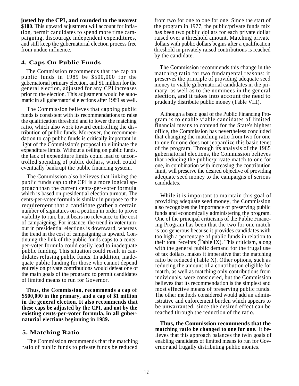**justed by the CPI, and rounded to the nearest \$100**. This upward adjustment will account for inflation, permit candidates to spend more time campaigning, discourage independent expenditures, and still keep the gubernatorial election process free from undue influence.

#### **4. Caps On Public Funds**

The Commission recommends that the cap on public funds in 1989 be \$500,000 for the gubernatorial primary election, and \$1 million for the general election, adjusted for any CPI increases prior to the election. This adjustment would be automatic in all gubernatorial elections after 1989 as well.

The Commission believes that capping public funds is consistent with its recommendations to raise the qualification threshold and to lower the matching ratio, which also work toward controlling the distribution of public funds. Moreover, the recommendation to cap public funds is critically important in light of the Commission's proposal to eliminate the expenditure limits. Without a ceiling on public funds, the lack of expenditure limits could lead to uncontrolled spending of public dollars, which could eventually bankrupt the public financing system.

The Commission also believes that linking the public funds cap to the CPI is a more logical approach than the current cents-per-voter formula which is based on presidential election turnout. The cents-per-voter formula is similar in purpose to the requirement that a candidate gather a certain number of signatures on a petition in order to prove viability to run, but it bears no relevance to the cost of campaigning. For instance, the trend in voter turnout in presidential elections is downward, whereas the trend in the cost of campaigning is upward. Continuing the link of the public funds caps to a centsper-voter formula could easily lead to inadequate public funding. This situation could result in candidates refusing public funds. In addition, inadequate public funding for those who cannot depend entirely on private contributions would defeat one of the main goals of the program: to permit candidates of limited means to run for Governor.

**Thus, the Commission, recommends a cap of \$500,000 in the primary, and a cap of \$1 million in the general election. It also recommends that these caps be adjusted by the CPI, and not by the existing cents-per-voter formula, in all guber-**

#### **5. Matching Ratio**

The Commission recommends that the matching ratio of public funds to private funds be reduced

from two for one to one for one. Since the start of the program in 1977, the public/private funds mix has been two public dollars for each private dollar raised over a threshold amount. Matching private dollars with public dollars begins after a qualification threshold in privately raised contributions is reached by the candidate.

The Commission recommends this change in the matching ratio for two fundamental reasons: it preserves the principle of providing adequate seed money to viable gubernatorial candidates in the primary, as well as to the nominees in the general election, and it takes into account the need to prudently distribute public money (Table VIII).

Although a basic goal of the Public Financing Program is to enable viable candidates of limited financial means to contend for the State's highest office, the Commission has nevertheless concluded that changing the matching ratio from two for one to one for one does not jeopardize this basic tenet of the program. Through its analysis of the 1985 gubernatorial elections, the Commission believes that reducing the public/private match to one for one, in combination with increasing the contribution limit, will preserve the desired objective of providing adequate seed money to the campaigns of serious candidates.

While it is important to maintain this goal of providing adequate seed money, the Commission also recognizes the importance of preserving public funds and economically administering the program. One of the principal criticisms of the Public Financing Program has been that the two for one match is too generous because it provides candidates with too high a percentage of public funds in relation to their total receipts (Table IX). This criticism, along with the general public demand for the frugal use of tax dollars, makes it imperative that the matching ratio be reduced (Table X). Other options, such as reducing the amount of a contribution eligible for match, as well as matching only contributions from individuals, were considered, but the Commission believes that its recommendation is the simplest and most effective means of preserving public funds. The other methods considered would add an administrative and enforcement burden which appears to be unwarranted, since the desired effect can be reached through the reduction of the ratio.

**natorial elections beginning in 1989. Thus, the Commission recommends that the matching ratio be changed to one for one.** It believes that this approach balances the twin goals of enabling candidates of limited means to run for Governor and frugally distributing public monies.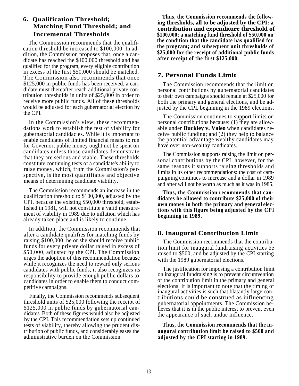### **6. Qualification Threshold; Matching Fund Threshold; and Incremental Thresholds**

The Commission recommends that the qualification threshold be increased to \$100,000. In addition, the Commission proposes that, once a candidate has reached the \$100,000 threshold and has qualified for the program, every eligible contribution in excess of the first \$50,000 should be matched. The Commission also recommends that once \$125,000 in public funds has been received, a candidate must thereafter reach additional private contribution thresholds in units of \$25,000 in order to receive more public funds. All of these thresholds would be adjusted for each gubernatorial election by the CPI.

In the Commission's view, these recommendations work to establish the test of viability for gubernatorial candidacies. While it is important to enable candidates of limited financial means to run for Governor, public money ought not be spent on candidates unless those candidates demonstrate that they are serious and viable. These thresholds constitute continuing tests of a candidate's ability to raise money, which, from the Commission's perspective , is the most quantifiable and objective means of determining candidate viability.

The Commission recommends an increase in the qualification threshold to \$100,000, adjusted by the CPI, because the existing \$50,000 threshold, established in 1981, will not constitute a valid measurement of viability in 1989 due to inflation which has already taken place and is likely to continue.

In addition, the Commission recommends that after a candidate qualifies for matching funds by raising \$100,000, he or she should receive public funds for every private dollar raised in excess of \$50,000, adjusted by the CPI. The Commission urges the adoption of this recommendation because while it recognizes the need to reward only serious candidates with public funds, it also recognizes its responsibility to provide enough public dollars to candidates in order to enable them to conduct competitive campaigns.

Finally, the Commission recommends subsequent threshold units of \$25,000 following the receipt of \$125,000 in public funds by gubernatorial candidates. Both of these figures would also be adjusted by the CPI. This recommendation sets up continued tests of viability, thereby allowing the prudent distribution of public funds, and considerably eases the administrative burden on the Commission.

**Thus, the Commission recommends the following thresholds, all to be adjusted by the CPI: a contribution and expenditure threshold of \$100,000; a matching fund threshold of \$50,000 on the condition that the candidate has qualified for the program; and subsequent unit thresholds of \$25,000 for the receipt of additional public funds after receipt of the first \$125,000.**

#### **7. Personal Funds Limit**

The Commission recommends that the limit on personal contributions by gubernatorial candidates to their own campaigns should remain at \$25,000 for both the primary and general elections, and be adjusted by the CPI, beginning in the 1989 elections.

The Commission continues to support limits on personal contributions because: (1) they are allowable under **Buckley v. Valeo** when candidates receive public funding; and (2) they help to balance the potential advantage wealthy candidates may have over non-wealthy candidates.

The Commission supports raising the limit on personal contributions by the CPI, however, for the same reasons it supports raising thresholds and limits in its other recommendations: the cost of campaigning continues to increase and a dollar in 1989 and after will not be worth as much as it was in 1985.

**Thus, the Commission recommends that candidates be allowed to contribute \$25,000 of their own money in both the primary and general elections with this figure being adjusted by the CPI beginning in 1989.**

#### **8. Inaugural Contribution Limit**

The Commission recommends that the contribution limit for inaugural fundraising activities be raised to \$500, and be adjusted by the CPI starting with the 1989 gubernatorial elections.

The justification for imposing a contribution limit on inaugural fundraising is to prevent circumvention of the contribution limit in the primary and general elections. It is important to note that the timing of inaugural activities is such that blatantly large contributions could be construed as influencing gubernatorial appointments. The Commission believes that it is in the public interest to prevent even the appearance of such undue influence.

**Thus, the Commission recommends that the inaugural contribution limit be raised to \$500 and adjusted by the CPI starting in 1989.**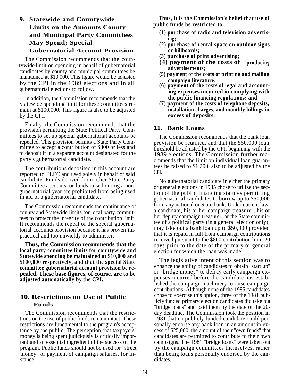# **Limits on the Amounts County ing; May Spend; Special (2) purchase of rental space on outdoor signs** Gubernatorial Account Provision or billboards;<br>
he Commission recommends that the seven (3) purchase of print advertising;

The Commission recommends that the countywide limit on spending in behalf of gubernatorial candidates by county and municipal committees be maintained at \$10,000. This figure would be adjusted by the CPI in the 1989 elections and in all gubernatorial elections to follow.

In addition, the Commission recommends that the **the public financing regulations; and** Statewide spending limit for these committees remain at \$100,000. This figure is also to be adjusted by the CPI.

Finally, the Commission recommends that the provision permitting the State Political Party Committees to set up special gubernatorial accounts be repealed. This provision permits a State Party Committee to accept a contribution of \$800 or less and to deposit it in a separate account designated for the party's gubernatorial candidate.

The contributions deposited in this account are reported to ELEC and used solely in behalf of said candidate. Funds derived from other State Party Committee accounts, or funds raised during a nongubernatorial year are prohibited from being used in aid of a gubernatorial candidate.

The Commission recommends the continuance of county and Statewide limits for local party committees to protect the integrity of the contribution limit. It recommends the repeal of the special gubernatorial accounts provision because it has proven impractical and too unwieldy to administer.

**Thus, the Commission recommends that the local party committee limits for countywide and Statewide spending be maintained at \$10,000 and \$100,000 respectively, and that the special State committee gubernatorial account provision be repealed. These base figures, of course, are to be adjusted automatically by the CPI.**

## **10. Restrictions on Use of Public Funds**

The Commission recommends that the restrictions on the use of public funds remain intact. These restrictions are fundamental to the program's acceptance by the public. The perception that taxpayers' money is being spent judiciously is critically important and an essential ingredient of the success of the program. Public funds should not be used for ''street money'' or payment of campaign salaries, for instance.

**9. Statewide and Countywide** Thus, it is the Commission's belief that use of<br> **T** in the contract of the American County County of the United Sections of the American County of the United Sections of the United Sections o

- and Municipal Party Committees (1) purchase of radio and television advertis-<br>
ing:
	-
	-
	- **(4) payment of the costs of producing advertisements;**
	- **(5) payment of the costs of printing and mailing campaign literature;**
	- **(6) payment of the costs of legal and accounting expenses incurred in complying with**
	- **(7) payment of the costs of telephone deposits, installation charges, and monthly billings in excess of deposits.**

#### **11. Bank Loans**

The Commission recommends that the bank loan provision be retained, and that the \$50,000 loan threshold be adjusted by the CPI, beginning with the 1989 elections. The Commission further recommends that the limit on individual loan guarantees be raised to \$1,200, also to be adjusted by the CPI.

No gubernatorial candidate in either the primary or general elections in 1985 chose to utilize the section of the public financing statutes permitting gubernatorial candidates to borrow up to \$50,000 from any national or State bank. Under current law, a candidate, his or her campaign treasurer, his or her deputy campaign treasurer, or the State committee of a political party (in a general election only), may take out a bank loan up to \$50,000 provided that it is repaid in full from campaign contributions received pursuant to the \$800 contribution limit 20 days prior to the date of the primary or general election for which the loan was made.

The legislative intent of this section was to enhance the ability of candidates to obtain ''start up'' or ''bridge money'' to defray early campaign expenses incurred before the candidate has established the campaign machinery to raise campaign contributions. Although none of the 1985 candidates chose to exercise this option, three of the 1981 publicly funded primary election candidates did take out ''bridge loans'' and paid them by the date of the 20 day deadline. The Commission took the position in 1981 that no publicly funded candidate could personally endorse any bank loan in an amount in excess of \$25,000, the amount of their ''own funds'' that candidates are permitted to contribute to their own campaigns. The 1981 ''bridge loans'' were taken out by the campaign committees themselves, rather than being loans personally endorsed by the candidates.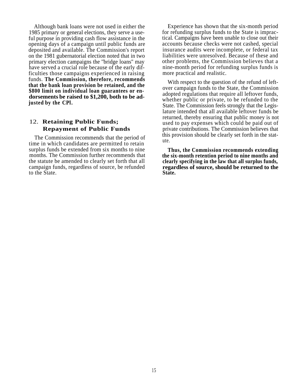Although bank loans were not used in either the 1985 primary or general elections, they serve a useful purpose in providing cash flow assistance in the opening days of a campaign until public funds are deposited and available. The Commission's report on the 1981 gubernatorial election noted that in two primary election campaigns the ''bridge loans'' may have served a crucial role because of the early difficulties those campaigns experienced in raising funds. **The Commission, therefore, recommends that the bank loan provision be retained, and the \$800 limit on individual loan guarantees or endorsements be raised to \$1,200, both to be adjusted by the CPl.**

### 12. **Retaining Public Funds; Repayment of Public Funds**

The Commission recommends that the period of time in which candidates are permitted to retain surplus funds be extended from six months to nine months. The Commission further recommends that the statute be amended to clearly set forth that all campaign funds, regardless of source, be refunded to the State.

Experience has shown that the six-month period for refunding surplus funds to the State is impractical. Campaigns have been unable to close out their accounts because checks were not cashed, special insurance audits were incomplete, or federal tax liabilities were unresolved. Because of these and other problems, the Commission believes that a nine-month period for refunding surplus funds is more practical and realistic.

With respect to the question of the refund of leftover campaign funds to the State, the Commission adopted regulations that require all leftover funds, whether public or private, to be refunded to the State. The Commission feels strongly that the Legislature intended that all available leftover funds be returned, thereby ensuring that public money is not used to pay expenses which could be paid out of private contributions. The Commission believes that this provision should be clearly set forth in the statute.

**Thus, the Commission recommends extending the six-month retention period to nine months and clearly specifying in the law that all surplus funds, regardless of source, should be returned to the State.**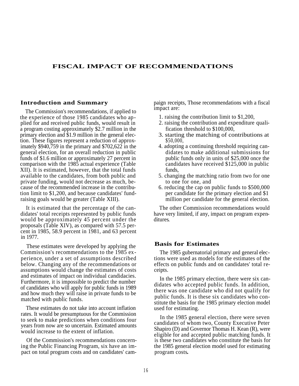#### **FISCAL IMPACT OF RECOMMENDATIONS**

impact are: The Commission's recommendations, if applied to the experience of those 1985 candidates who applied for and received public funds, would result in a program costing approximately \$2.7 million in the primary election and \$1.9 million in the general election. These figures represent a reduction of approximately \$940,759 in the primary and \$702,622 in the general election, for an overall reduction in public funds of \$1.6 million or approximately 27 percent in comparison with the 1985 actual experience (Table XII). It is estimated, however, that the total funds available to the candidates, from both public and private funding, would not decrease as much, because of the recommended increase in the contribution limit to \$1,200, and because candidates' fundraising goals would be greater (Table XIII).

It is estimated that the percentage of the candidates' total receipts represented by public funds would be approximately 45 percent under the proposals (Table XIV), as compared with 57.5 percent in 1985, 58.9 percent in 1981, and 63 percent in 1977.

These estimates were developed by applying the **Basis for Estimates** Commission's recommendations to the 1985 ex- The 1985 gubernatorial primary and general elecperience, under a set of assumptions described below. Changing any of the recommendations or assumptions would change the estimates of costs and estimates of impact on individual candidacies. Furthermore, it is impossible to predict the number of candidates who will apply for public funds in 1989 and how much they will raise in private funds to be matched with public funds.

These estimates do not take into account inflation used for estimating. rates. It would be presumptuous for the Commission to seek to make predictions when conditions four years from now are so uncertain. Estimated amounts would increase to the extent of inflation.

Of the Commission's recommendations concerning the Public Financing Program, six have an impact on total program costs and on candidates' cam-

**Introduction and Summary** paign receipts, Those recommendations with a fiscal

- 1. raising the contribution limit to \$1,200,
- 2. raising the contribution and expenditure qualification threshold to \$100,000,
- 3. starting the matching of contributions at \$50,000,
- 4. adopting a continuing threshold requiring candidates to make additional submissions for public funds only in units of \$25,000 once the candidates have received \$125,000 in public funds,
- 5. changing the matching ratio from two for one to one for one, and
- 6. reducing the cap on public funds to \$500,000 per candidate for the primary election and \$1 million per candidate for the general election.

The other Commission recommendations would have very limited, if any, impact on program expenditures.

tions were used as models for the estimates of the effects on public funds and on candidates' total receipts.

In the 1985 primary election, there were six candidates who accepted public funds. In addition, there was one candidate who did not qualify for public funds. It is these six candidates who constitute the basis for the 1985 primary election model

In the 1985 general election, there were seven candidates of whom two, County Executive Peter Shapiro (D) and Governor Thomas H. Kean (R), were eligible for and accepted public matching funds. It is these two candidates who constitute the basis for the 1985 general election model used for estimating program costs**.**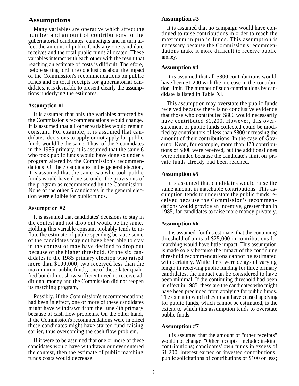# **Assumptions Assumption #3**

Many variables are operative which affect the number and amount of contributions to the gubernatorial candidates' campaigns and in turn affect the amount of public funds any one candidate receives and the total public funds allocated. These variables interact with each other with the result that reaching an estimate of costs is difficult. Therefore, before setting forth the conclusions about the impact of the Commission's recommendations on public funds and on total receipts for gubernatorial candidates, it is desirable to present clearly the assumptions underlying the estimates.

#### **Assumption #1**

It is assumed that only the variables affected by the Commission's recommendations would change. It is assumed that all other variables would remain constant. For example, it is assumed that candidates' decisions to apply or not apply for public funds would be the same. Thus, of the 7 candidates in the 1985 primary, it is assumed that the same 6 who took public funds would have done so under a program altered by the Commission's recommendations. Of the 7 candidates in the general election, it is assumed that the same two who took public funds would have done so under the provisions of the program as recommended by the Commission. None of the other 5 candidates in the general election were eligible for public funds.

It is assumed that candidates' decisions to stay in the contest and not drop out would be the same. Holding this variable constant probably tends to inflate the estimate of public spending because some of the candidates may not have been able to stay in the contest or may have decided to drop out because of the higher threshold. Of the six candidates in the 1985 primary election who raised more than \$100,000, two received less than the maximum in public funds; one of these later qualified but did not show sufficient need to receive additional money and the Commission did not reopen its matching program,

Possibly, if the Commission's recommendations had been in effect, one or more of these candidates might have withdrawn from the June 4th primary because of cash flow problems. On the other hand, if the Commission's recommendations were in effect these candidates might have started fund-raising earlier, thus overcoming the cash flow problem.

If it were to be assumed that one or more of these candidates would have withdrawn or never entered the contest, then the estimate of public matching funds costs would decrease.

It is assumed that no campaign would have continued to raise contributions in order to reach the maximum in public funds. This assumption is necessary because the Commission's recommendations make it more difficult to receive public money.

#### **Assumption #4**

It is assumed that all \$800 contributions would have been \$1,200 with the increase in the contribution limit. The number of such contributions by candidate is listed in Table XI.

This assumption may overstate the public funds received because there is no conclusive evidence that those who contributed \$800 would necessarily have contributed \$1,200. However, this overstatement of public funds collected could be modified by contributors of less than \$800 increasing the amount of their contributions. In the case of Governor Kean, for example, more than 478 contributions of \$800 were received, but the additional ones were refunded because the candidate's limit on private funds already had been reached.

#### **Assumption #5**

It is assumed that candidates would raise the same amount in matchable contributions. This assumption tends to understate the public funds received because the Commission's recommen dations would provide an incentive, greater than in Assumption #2<br>1985, for candidates to raise more money privately.

#### **Assumption #6**

It is assumed, for this estimate, that the continuing threshold of units of \$25,000 in contributions for matching would have little impact. This assumption is made solely because the impact of the continuing threshold recommendations cannot be estimated with certainty. While there were delays of varying length in receiving public funding for three primary candidates, the impact can be considered to have been minimal. If the continuing threshold had been in effect in 1985, these are the candidates who might have been precluded from applying for public funds. The extent to which they might have ceased applying for public funds, which cannot be estimated, is the extent to which this assumption tends to overstate public funds.

#### **Assumption #7**

It is assumed that the amount of ''other receipts'' would not change. ''Other receipts'' include: in-kind contributions; candidates' own funds in excess of \$1,200; interest earned on invested contributions; public solicitations of contributions of \$100 or less;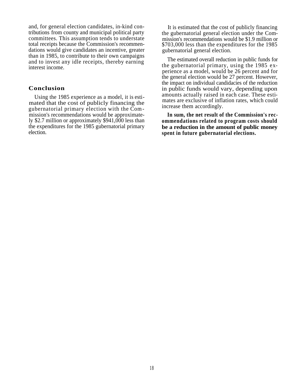and, for general election candidates, in-kind contributions from county and municipal political party committees. This assumption tends to understate total receipts because the Commission's recommendations would give candidates an incentive, greater than in 1985, to contribute to their own campaigns and to invest any idle receipts, thereby earning interest income.

#### **Conclusion**

Using the 1985 experience as a model, it is estimated that the cost of publicly financing the gubernatorial primary election with the Commission's recommendations would be approximately \$2.7 million or approximately \$941,000 less than the expenditures for the 1985 gubernatorial primary election.

It is estimated that the cost of publicly financing the gubernatorial general election under the Commission's recommendations would be \$1.9 million or \$703,000 less than the expenditures for the 1985 gubernatorial general election.

The estimated overall reduction in public funds for the gubernatorial primary, using the 1985 experience as a model, would be 26 percent and for the general election would be 27 percent. However, the impact on individual candidacies of the reduction in public funds would vary, depending upon amounts actually raised in each case. These estimates are exclusive of inflation rates, which could increase them accordingly.

**In sum, the net result of the Commission's recommendations related to program costs should be a reduction in the amount of public money spent in future gubernatorial elections.**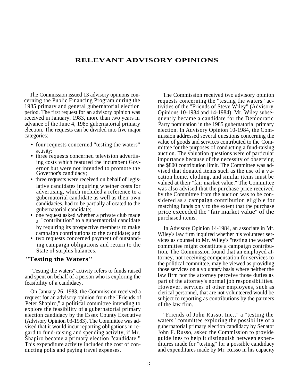#### **RELEVANT ADVISORY OPINIONS**

The Commission issued 13 advisory opinions concerning the Public Financing Program during the 1985 primary and general gubernatorial election period. The first request for an advisory opinion was received in January, 1983, more than two years in advance of the June 4, 1985 gubernatorial primary election. The requests can be divided into five major categories:

- four requests concerned "testing the waters" activity;
- three requests concerned television advertising costs which featured the incumbent Governor but were not intended to promote the Governor's candidacy;
- three requests were received on behalf of legislative candidates inquiring whether costs for advertising, which included a reference to a gubernatorial candidate as well as their own candidacies, had to be partially allocated to the gubernatorial candidate;
- one request asked whether a private club made a ''contribution'' to a gubernatorial candidate by requiring its prospective members to make In Advisory Opinion 14-1984, an associate in Mr. campaign contributions to the candidate; and
- two requests concerned payment of outstanding campaign obligations and return to the State of surplus balances.

#### **''Testing the Waters''**

''Testing the waters'' activity refers to funds raised and spent on behalf of a person who is exploring the feasibility of a candidacy.

On January 26, 1983, the Commission received a request for an advisory opinion from the ''Friends of Peter Shapiro,'' a political committee intending to explore the feasibility of a gubernatorial primary election candidacy by the Essex County Executive (Advisory Opinion 03-1983). The Committee was advised that it would incur reporting obligations in regard to fund-raising and spending activity, if Mr. Shapiro became a primary election ''candidate.'' This expenditure activity included the cost of conducting polls and paying travel expenses.

The Commission received two advisory opinion requests concerning the ''testing the waters'' activities of the ''Friends of Steve Wiley'' (Advisory Opinions 10-1984 and 14-1984). Mr. Wiley subsequently became a candidate for the Democratic Party nomination in the 1985 gubernatorial primary election. In Advisory Opinion 10-1984, the Commission addressed several questions concerning the value of goods and services contributed to the Committee for the purposes of conducting a fund-raising auction. The valuation questions were of particular importance because of the necessity of observing the \$800 contribution limit. The Committee was advised that donated items such as the use of a vacation home, clothing, and similar items must be valued at their ''fair market value.'' The Committee was also advised that the purchase price received by the Committee from the auction was to be considered as a campaign contribution eligible for matching funds only to the extent that the purchase price exceeded the ''fair market value'' of the purchased items.

Wiley's law firm inquired whether his volunteer services as counsel to Mr. Wiley's ''testing the waters'' committee might constitute a campaign contribution. The Commission found that an employed attorney, not receiving compensation for services to the political committee, may be viewed as providing those services on a voluntary basis where neither the law firm nor the attorney perceive those duties as part of the attorney's normal job responsibilities. However, services of other employees, such as clerical personnel, that are not volunteered would be subject to reporting as contributions by the partners of the law firm.

''Friends of John Russo, Inc.," a ''testing the waters'' committee exploring the possibility of a gubernatorial primary election candidacy by Senator John F. Russo, asked the Commission to provide guidelines to help it distinguish between expenditures made for ''testing'' for a possible candidacy and expenditures made by Mr. Russo in his capacity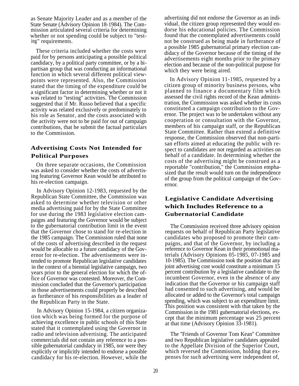as Senate Majority Leader and as a member of the State Senate (Advisory Opinion 18-1984). The Commission articulated several criteria for determining whether or not spending could be subject to ''testing" requirements.

These criteria included whether the costs were paid for by persons anticipating a possible political candidacy, by a political party committee, or by a bipartisan group that was conducting an informational function in which several different political viewpoints were represented. Also, the Commission stated that the timing of the expenditure could be a significant factor in determining whether or not it was related to ''testing'' activities. The Commission suggested that if Mr. Russo believed that a specific activity was related exclusively or predominately to his role as Senator, and the costs associated with the activity were not to be paid for out of campaign contributions, that he submit the factual particulars to the Commission.

# **Advertising Costs Not Intended for Political Purposes**

On three separate occasions, the Commission was asked to consider whether the costs of advertising featuring Governor Kean would be attributed to his re-election campaign.

In Advisory Opinion 12-1983, requested by the Republican State Committee, the Commission was asked to determine whether television or other media advertising paid for by the State Committee for use during the 1983 legislative election campaigns and featuring the Governor would be subject to the gubernatorial contribution limit in the event that the Governor chose to stand for re-election in the 1985 campaign. The Commission ruled that none of the costs of advertising described in the request would be allocable to a future candidacy of the Governor for re-election. The advertisements were intended to promote Republican legislative candidates in the context of a biennial legislative campaign, two years prior to the general election for which the office of Governor was contested. Moreover, the Commission concluded that the Governor's participation in those advertisements could properly be described as furtherance of his responsibilities as a leader of the Republican Party in the State.

In Advisory Opinion 15-1984, a citizen organization which was being formed for the purpose of achieving excellence in public schools of this State stated that it contemplated using the Governor in radio and television advertising. The anticipated commercials did not contain any reference to a possible gubernatorial candidacy in 1985, nor were they explicitly or implicitly intended to endorse a possible candidacy for his re-election. However, while the

advertising did not endorse the Governor as an individual, the citizen group represented they would endorse his educational policies. The Commission found that the contemplated advertisements could not be construed as being made in furtherance of a possible 1985 gubernatorial primary election candidacy of the Governor because of the timing of the advertisements eight months prior to the primary election and because of the non-political purpose for which they were being aired.

In Advisory Opinion 11-1985, requested by a citizen group of minority business persons, who planned to finance a documentary film which assessed the civil rights record of the Kean administration, the Commission was asked whether its costs constituted a campaign contribution to the Governor. The project was to be undertaken without any cooperation or consultation with the Governor, members of his campaign staff, or the Republican State Committee. Rather than extend a definitive response, the Commission observed that non-partisan efforts aimed at educating the public with respect to candidates are not regarded as activities on behalf of a candidate. In determining whether the costs of the advertising might be construed as a reportable ''contribution,'' the Commission emphasized that the result would turn on the independence of the group from the political campaign of the Governor.

## **Legislative Candidate Advertising which Includes Reference to a Gubernatorial Candidate**

The Commission received three advisory opinion requests on behalf of Republican Party legislative candidates who proposed to promote their campaigns, and that of the Governor, by including a reference to Governor Kean in their promotional materials (Advisory Opinions 05-1985, 07-1985 and 10-1985). The Commission took the position that any joint advertising cost would constitute a minimum 15 percent contribution by a legislative candidate to the incumbent Governor, even in the absence of any indication that the Governor or his campaign staff had consented to such advertising, and would be allocated or added to the Governor's total campaign spending, which was subject to an expenditure limit. This position was consistent with that taken by the Commission in the 1981 gubernatorial elections, except that the minimum percentage was 25 percent at that time (Advisory Opinion 33-1981).

The ''Friends of Governor Tom Kean'' Committee and two Republican legislative candidates appealed to the Appellate Division of the Superior Court, which reversed the Commission, holding that expenses for such advertising were independent of,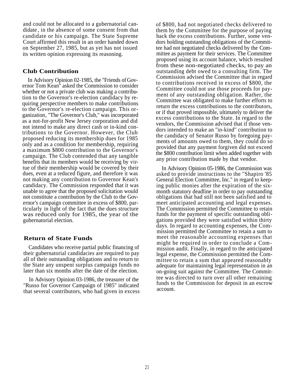and could not be allocated to a gubernatorial candidate , in the absence of some consent from that candidate or his campaign. The State Supreme Court affirmed this result in an order handed down on September 27, 1985, but as yet has not issued its written opinion expressing its reasoning.

#### **Club Contribution**

In Advisory Opinion 02-1985, the ''Friends of Governor Tom Kean'' asked the Commission to consider whether or not a private club was making a contribution to the Governor's re-election candidacy by requiring perspective members to make contributions to the Governor's re-election campaign. This organization, ''The Governor's Club,'' was incorporated as a not-for-profit New Jersey corporation and did not intend to make any direct cash or in-kind contributions to the Governor. However, the Club proposed reducing its membership dues for 1985 only and as a condition for membership, requiring a maximum \$800 contribution to the Governor's campaign. The Club contended that any tangible benefits that its members would be receiving by virtue of their membership would be covered by their dues, even at a reduced figure, and therefore it was not making any contribution to Governor Kean's candidacy. The Commission responded that it was unable to agree that the proposed solicitation would not constitute a contribution by the Club to the Governor's campaign committee in excess of \$800, particularly in light of the fact that the dues structure was reduced only for 1985, the year of the gubernatorial election.

#### **Return of State Funds**

Candidates who receive partial public financing of their gubernatorial candidacies are required to pay all of their outstanding obligations and to return to the State any unspent surplus campaign funds no later than six months after the date of the election.

In Advisory Opinion 03-1986, the treasurer of the ''Russo for Governor Campaign of 1985'' indicated that several contributors, who had given in excess of \$800, had not negotiated checks delivered to them by the Committee for the purpose of paying back the excess contributions. Further, some vendors holding outstanding obligations of the Committee had not negotiated checks delivered by the Committee as payment for their services. The Committee proposed using its account balance, which resulted from these non-negotiated checks, to pay an outstanding debt owed to a consulting firm. The Commission advised the Committee that in regard to contributions received in excess of \$800, the Committee could not use those proceeds for payment of any outstanding obligation. Rather, the Committee was obligated to make further efforts to return the excess contributions to the contributors, or if that proved impossible, ultimately to deliver the excess contributions to the State. In regard to the vendors, the Commission advised that if those vendors intended to make an ''in-kind'' contribution to the candidacy of Senator Russo by foregoing payments of amounts owed to them, they could do so provided that any payment forgiven did not exceed the \$800 contribution limit when added together with any prior contribution made by that vendor.

In Advisory Opinion 05-1986, the Commission was asked to provide instructions to the ''Shapiro '85 General Election Committee, Inc.'' in regard to keeping public monies after the expiration of the sixmonth statutory deadline in order to pay outstanding obligations that had still not been satisfied and to meet anticipated accounting and legal expenses. The Commission permitted the Committee to retain funds for the payment of specific outstanding obligations provided they were satisfied within thirty days. In regard to accounting expenses, the Commission permitted the Committee to retain a sum to meet the reasonable accounting expenses that might be required in order to conclude a Commission audit. Finally, in regard to the anticipated legal expense, the Commission permitted the Committee to retain a sum that appeared reasonably adequate for maintaining legal representation in an on-going suit against the Committee. The Committee was directed to turn over all other remaining funds to the Commission for deposit in an escrow account.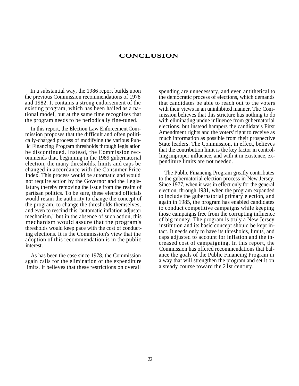#### **CONCLUSION**

In a substantial way, the 1986 report builds upon the previous Commission recommendations of 1978 and 1982. It contains a strong endorsement of the existing program, which has been hailed as a national model, but at the same time recognizes that the program needs to be periodically fine-tuned.

In this report, the Election Law Enforcement Commission proposes that the difficult and often politically-charged process of modifying the various Public Financing Program thresholds through legislation be discontinued. Instead, the Commission recommends that, beginning in the 1989 gubernatorial election, the many thresholds, limits and caps be changed in accordance with the Consumer Price Index. This process would be automatic and would not require action by the Governor and the Legislature, thereby removing the issue from the realm of partisan politics. To be sure, these elected officials would retain the authority to change the concept of the program, to change the thresholds themselves, and even to rescind this ''automatic inflation adjuster mechanism,'' but in the absence of such action, this mechanism would assure that the program's thresholds would keep pace with the cost of conducting elections. It is the Commission's view that the adoption of this recommendation is in the public interest.

As has been the case since 1978, the Commission again calls for the elimination of the expenditure limits. It believes that these restrictions on overall

spending are unnecessary, and even antithetical to the democratic process of elections, which demands that candidates be able to reach out to the voters with their views in an uninhibited manner. The Commission believes that this stricture has nothing to do with eliminating undue influence from gubernatorial elections, but instead hampers the candidate's First Amendment rights and the voters' right to receive as much information as possible from their prospective State leaders. The Commission, in effect, believes that the contribution limit is the key factor in controlling improper influence, and with it in existence, expenditure limits are not needed.

The Public Financing Program greatly contributes to the gubernatorial election process in New Jersey. Since 1977, when it was in effect only for the general election, through 1981, when the program expanded to include the gubernatorial primary election, and again in 1985, the program has enabled candidates to conduct competitive campaigns while keeping those campaigns free from the corrupting influence of big money. The program is truly a New Jersey institution and its basic concept should be kept intact. It needs only to have its thresholds, limits, and caps adjusted to account for inflation and the increased cost of campaigning. In this report, the Commission has offered recommendations that balance the goals of the Public Financing Program in a way that will strengthen the program and set it on a steady course toward the 21st century.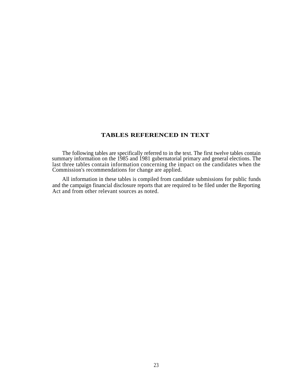### **TABLES REFERENCED IN TEXT**

The following tables are specifically referred to in the text. The first twelve tables contain summary information on the 1985 and 1981 gubernatorial primary and general elections. The last three tables contain information concerning the impact on the candidates when the Commission's recommendations for change are applied.

All information in these tables is compiled from candidate submissions for public funds and the campaign financial disclosure reports that are required to be filed under the Reporting Act and from other relevant sources as noted.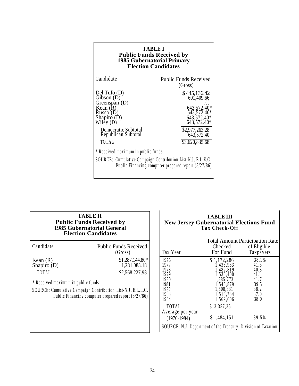| <b>TABLE I</b><br><b>Public Funds Received by</b><br><b>1985 Gubernatorial Primary</b><br><b>Election Candidates</b>                                       |                                                                                                                                          |  |  |  |  |
|------------------------------------------------------------------------------------------------------------------------------------------------------------|------------------------------------------------------------------------------------------------------------------------------------------|--|--|--|--|
| Candidate                                                                                                                                                  | <b>Public Funds Received</b><br>(Gross)                                                                                                  |  |  |  |  |
| Del Tufo (D)<br>Gibson (D)<br>Greenspan (D)<br>Kean $(R)$<br>Russo (D<br>Shapiro (D)<br>Wiley $(D)$<br>Democratic Subtotal<br>Republican Subtotal<br>TOTAL | \$445,136.42<br>601,409.66<br>643,572.40*<br>643,572.40*<br>643,572.40*<br>643,572.40*<br>\$2,977,263.28<br>643,572.40<br>\$3,620,835.68 |  |  |  |  |
| * Received maximum in public funds<br>SOURCE: Cumulative Campaign Contribution List-N.J. E.L.E.C.<br>Public Financing computer prepared report (5/27/86)   |                                                                                                                                          |  |  |  |  |

| <b>TABLE II</b><br><b>Public Funds Received by</b><br><b>1985 Gubernatorial General</b><br><b>Election Candidates</b>                     |                                                                                                           | <b>TABLE III</b><br><b>New Jersey Gubernatorial Elections Fun</b><br><b>Tax Check-Off</b>                                                                                       |                                                                                                                                                    |                                                                                    |  |
|-------------------------------------------------------------------------------------------------------------------------------------------|-----------------------------------------------------------------------------------------------------------|---------------------------------------------------------------------------------------------------------------------------------------------------------------------------------|----------------------------------------------------------------------------------------------------------------------------------------------------|------------------------------------------------------------------------------------|--|
| Candidate                                                                                                                                 | <b>Public Funds Received</b><br>(Gross)                                                                   | Tax Year                                                                                                                                                                        | <b>Total Amount Participation F</b><br>Checked<br>For Fund                                                                                         | of Eligible<br>Taxpayers                                                           |  |
| Kean $(R)$<br>Shapiro $(D)$<br>TOTAL<br>* Received maximum in public funds<br>SOURCE: Cumulative Campaign Contribution List-N.J. E.L.E.C. | $$1,287,144.80*$<br>1,281,083.18<br>\$2,568,227.98<br>Public Financing computer prepared report (5/27/86) | 1976<br>1977<br>1978<br>1979<br>1980<br>1981<br>1982<br>1983<br>1984<br>TOTAL<br>Average per year<br>$(1976-1984)$<br>SOURCE: N.J. Department of the Treasury, Division of Taxa | \$1,172,286<br>1,438,983<br>1,482,819<br>1,538,400<br>1,585,773<br>1,543,879<br>1,508,831<br>1,516,784<br>1,569,606<br>\$13,357,361<br>\$1,484,151 | 38.1%<br>41.3<br>$40.8$<br>$41.1$<br>41.7<br>39.5<br>38.2<br>37.0<br>38.0<br>39.5% |  |

| <b>TABLE II</b><br><b>Public Funds Received by</b><br><b>1985 Gubernatorial General</b><br><b>Election Candidates</b>                                                                            | <b>TABLE III</b><br><b>New Jersey Gubernatorial Elections Fund</b><br><b>Tax Check-Off</b>                                                                                          |                                                                                                                                                    |                                                                                                               |  |  |
|--------------------------------------------------------------------------------------------------------------------------------------------------------------------------------------------------|-------------------------------------------------------------------------------------------------------------------------------------------------------------------------------------|----------------------------------------------------------------------------------------------------------------------------------------------------|---------------------------------------------------------------------------------------------------------------|--|--|
| <b>Public Funds Received</b><br>(Gross)                                                                                                                                                          | Tax Year                                                                                                                                                                            | Checked<br>For Fund                                                                                                                                | <b>Total Amount Participation Rate</b><br>of Eligible<br>Taxpayers                                            |  |  |
| $$1,287,144.80*$<br>1,281,083.18<br>D)<br>\$2,568,227.98<br>maximum in public funds<br>umulative Campaign Contribution List-N.J. E.L.E.C.<br>Public Financing computer prepared report (5/27/86) | 1976<br>1977<br>1978<br>1979<br>1980<br>1981<br>1982<br>1983<br>1984<br>TOTAL<br>Average per year<br>$(1976-1984)$<br>SOURCE: N.J. Department of the Treasury, Division of Taxation | \$1,172,286<br>1,438,983<br>1,482,819<br>1,538,400<br>1,585,773<br>1,543,879<br>1,508,831<br>1,516,784<br>1,569,606<br>\$13,357,361<br>\$1,484,151 | 38.1%<br>41.3<br>$\begin{array}{c} 40.8 \\ 41.1 \end{array}$<br>41.7<br>39.5<br>38.2<br>37.0<br>38.0<br>39.5% |  |  |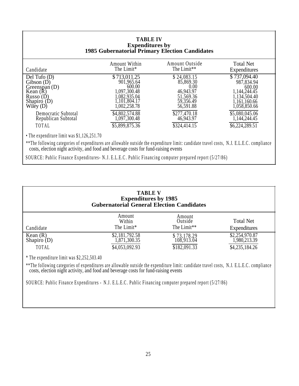#### **TABLE IV Expenditures by 1985 Gubernatorial Primary Election Candidates**

| Candidate                                                                                                      | Amount Within                                                                                       | Amount Outside                                                                       | <b>Total Net</b>                                                                                     |
|----------------------------------------------------------------------------------------------------------------|-----------------------------------------------------------------------------------------------------|--------------------------------------------------------------------------------------|------------------------------------------------------------------------------------------------------|
|                                                                                                                | The Limit*                                                                                          | The Limit**                                                                          | Expenditures                                                                                         |
| Del Tufo $(D)$<br>Gibson $(D)$<br>Greenspan $(D)$<br>Kean $(R)$<br>Russo $(D)$<br>Shapiro $(D)$<br>Wiley $(D)$ | \$713,011.25<br>901,965.64<br>600.00<br>1,097,300.48<br>,082,935.04<br>1,101,804.17<br>1,002,258.78 | \$24,083.15<br>85,869.30<br>0.00<br>46,943.97<br>51,569.36<br>59,356.49<br>56,591.88 | \$737,094.40<br>987,834.94<br>600.00<br>1,144,244.45<br>1,134,504.40<br>1,161,160.66<br>1,058,850.66 |
| Democratic Subtotal                                                                                            | \$4,802,574.88                                                                                      | \$277,470.18                                                                         | \$5,080,045.06                                                                                       |
| Republican Subtotal                                                                                            | 1,097,300.48                                                                                        | 46,943.97                                                                            | (144, 244.45)                                                                                        |
| TOTAL                                                                                                          | \$5,899,875.36                                                                                      | \$324,414.15                                                                         | \$6,224,289.51                                                                                       |

• The expenditure limit was \$1,126,251.70

\*\*The following categories of expenditures are allowable outside the expenditure limit: candidate travel costs, N.J. E.L.E.C . compliance costs, election night activity, and food and beverage costs for fund-raising events

SOURCE: Public Finance Expenditures- N.J. E.L.E.C . Public Financing computer prepared report (5/27/86)

| <b>TABLE V</b><br><b>Expenditures by 1985</b><br><b>Gubernatorial General Election Candidates</b> |                                                  |                                           |                                                  |  |  |  |
|---------------------------------------------------------------------------------------------------|--------------------------------------------------|-------------------------------------------|--------------------------------------------------|--|--|--|
| Candidate                                                                                         | Amount<br>Within<br>The Limit*                   | Amount<br>Outside<br>The Limit**          | <b>Total Net</b><br>Expenditures                 |  |  |  |
| Kean (R)<br>Shapiro (D)<br>TOTAL                                                                  | \$2,181,792.58<br>1,871,300.35<br>\$4,053,092.93 | \$73,178.29<br>108,913.04<br>\$182,091.33 | \$2,254,970.87<br>1,980,213.39<br>\$4,235,184.26 |  |  |  |
| * The expenditure limit was $$2,252,503.40$                                                       |                                                  |                                           |                                                  |  |  |  |

\*\*The following categories of expenditures are allowable outside the expenditure limit: candidate travel costs, N.J. E.L.E.C . compliance costs, election night activity, and food and beverage costs for fund-raising events

SOURCE: Public Finance Expenditures - N.J. E.L.E.C . Public Financing computer prepared report (5/27/86)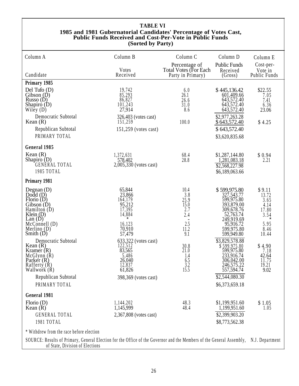#### **TABLE VI 1985 and 1981 Gubernatorial Candidates' Percentage of Votes Cast, Public Funds Received and Cost-Per-Vote in Public Funds (Sorted by Party)**

| Column A                                                                                                                                                    | Column B                                                                                                 | Column <sub>C</sub>                                                                         | Column D                                                                                                                                        | Column E                                                                             |
|-------------------------------------------------------------------------------------------------------------------------------------------------------------|----------------------------------------------------------------------------------------------------------|---------------------------------------------------------------------------------------------|-------------------------------------------------------------------------------------------------------------------------------------------------|--------------------------------------------------------------------------------------|
|                                                                                                                                                             | Votes                                                                                                    | Percentage of<br><b>Total Votes (For Each</b>                                               | <b>Public Funds</b><br>Received                                                                                                                 | Cost-per-<br>Vote in                                                                 |
| Candidate                                                                                                                                                   | Received                                                                                                 | Party in Primary)                                                                           | (Gross)                                                                                                                                         | Public Funds                                                                         |
| Primary 1985                                                                                                                                                |                                                                                                          |                                                                                             |                                                                                                                                                 |                                                                                      |
| Del Tufo $(D)$<br>Gibson(D)<br>Russo $(D)$<br>Shapiro $(D)$<br>Wiley $(D)$                                                                                  | 19,742<br>$\frac{85,293}{86,827}$<br>101,243<br>27,914                                                   | 6.0<br>26.1<br>26.6<br>31.0<br>8.6                                                          | \$445,136.42<br>601,409.66<br>643,572.40<br>643,572.40<br>643,572.40                                                                            | \$22.55<br>7.05<br>7.41<br>6.36<br>23.06                                             |
| Democratic Subtotal<br>Kean $(R)$                                                                                                                           | 326,403 (votes cast)<br>151,259                                                                          | 100.0                                                                                       | \$2,977,263.28<br>\$643,572.40                                                                                                                  | \$4.25                                                                               |
| Republican Subtotal                                                                                                                                         | 151,259 (votes cast)                                                                                     |                                                                                             | \$643,572.40                                                                                                                                    |                                                                                      |
| PRIMARY TOTAL                                                                                                                                               |                                                                                                          |                                                                                             | \$3,620,835.68                                                                                                                                  |                                                                                      |
| General 1985                                                                                                                                                |                                                                                                          |                                                                                             |                                                                                                                                                 |                                                                                      |
| Kean $(R)$<br>Shapiro (D)<br>GENÈRAL TOTAL<br>1985 TOTAL                                                                                                    | 1,372,631<br>578,402<br>2,005,330 (votes cast)                                                           | 68.4<br>28.8                                                                                | \$1,287,144.80<br>1,281,083.18<br>\$2,568,227.98<br>\$6,189,063.66                                                                              | \$0.94<br>2.21                                                                       |
| Primary 1981                                                                                                                                                |                                                                                                          |                                                                                             |                                                                                                                                                 |                                                                                      |
| Degnan $(D)$<br>$Dodd$ (D)<br>Florio $(D)$<br>Gibson (D)<br>Hamilton $(D)$<br>Klein $(D)$<br>Lan(D)<br>McConnell (D)<br>Merlino $(D)$<br>Smith $(D)$        | 65,844<br>23,866<br>164,179<br>95,212<br>17,395<br>14,884<br>$\star$<br>16,123<br>70,910<br>57,479       | 10.4<br>3.8<br>25.9<br>15.0<br>2.7<br>2.4<br>$\overline{\phantom{m}}$<br>2.5<br>11.2<br>9.1 | \$599,975.80<br>327,543.77<br>599,975.80<br>393,879.00<br>309,678.76<br>52,763.74<br>249,919.69<br>95,916.72<br>599,975.80<br>599,949.80        | \$9.11<br>13.72<br>3.65<br>4.14<br>17.80<br>3.54<br>$\star$<br>5.95<br>8.46<br>10.44 |
| Democratic Subtotal<br>Kean $(R)$<br>Kramer $(R)$<br>McGlynn(R)<br>Parker $(R)$<br>Rafferty $(R)$<br>Wallwork $(R)$<br>Republican Subtotal<br>PRIMARY TOTAL | 633,322 (votes cast)<br>122,512<br>83,565<br>5,486<br>26,040<br>12,837<br>61,826<br>398,369 (votes cast) | $^{30.8}_{21.0}$<br>1.4<br>6.5<br>$\frac{3.2}{15.5}$                                        | \$3,829,578.88<br>$\frac{$599,975.80}{$599,975.80}$<br>233,916.74<br>306,042.00<br>246,575.22<br>557,594.74<br>\$2,544,080.30<br>\$6,373,659.18 | \$4.90<br>7.18<br>42.64<br>11.75<br>19.21<br>9.02                                    |
| General 1981                                                                                                                                                |                                                                                                          |                                                                                             |                                                                                                                                                 |                                                                                      |
| Florio $(D)$<br>Kean $(R)$<br><b>GENERAL TOTAL</b><br>1981 TOTAL                                                                                            | 1,144,202<br>1,145,999<br>2,367,808 (votes cast)                                                         | 48.3<br>48.4                                                                                | \$1,199,951.60<br>1,199,951.60<br>\$2,399,903.20<br>\$8,773,562.38                                                                              | \$1.05<br>1.05                                                                       |
| * Withdrew from the race before election                                                                                                                    |                                                                                                          |                                                                                             |                                                                                                                                                 |                                                                                      |
| SOURCE: Results of Primary, General Election for the Office of the Governor and the Members of the General Assembly,<br>of State, Division of Elections     |                                                                                                          |                                                                                             |                                                                                                                                                 | N.J. Department                                                                      |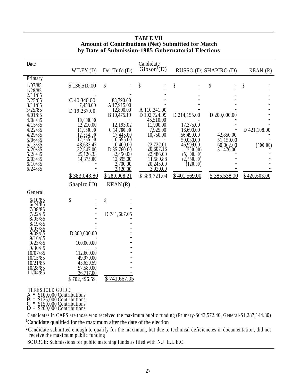| <b>TABLE VII</b><br><b>Amount of Contributions (Net) Submitted for Match</b><br>by Date of Submission-1985 Gubernatorial Elections                                                                     |                         |                            |                                      |  |                          |                        |              |
|--------------------------------------------------------------------------------------------------------------------------------------------------------------------------------------------------------|-------------------------|----------------------------|--------------------------------------|--|--------------------------|------------------------|--------------|
| Date                                                                                                                                                                                                   | WILEY (D)               | Del Tufo (D)               | Candidate<br>Gibson <sup>1</sup> (D) |  |                          | RUSSO (D) SHAPIRO (D)  | KEAN(R)      |
| Primary                                                                                                                                                                                                |                         |                            |                                      |  |                          |                        |              |
| 1/07/85<br>1/28/85<br>2/11/85                                                                                                                                                                          | \$136,510.00            | \$                         |                                      |  | \$                       | \$                     | \$           |
| 2/25/85                                                                                                                                                                                                | C40,340.00              | 88,790.00                  |                                      |  |                          |                        |              |
| 3/11/85<br>3/25/85                                                                                                                                                                                     | 7,458.00<br>D 19,267.00 | A 17,915.00<br>12,890.00   | A 110,241.00                         |  |                          |                        |              |
| 4/01/85                                                                                                                                                                                                |                         | B 10,475.19                | D 102,724.99<br>45,510.00            |  | D 214,155.00             | D 200,000.00           |              |
| 4/08/85<br>4/15/85                                                                                                                                                                                     | 10,000.00<br>12,210.00  | 12,193.02                  | 11,900.00                            |  | 17,375.00                |                        |              |
| 4/22/85<br>4/29/85                                                                                                                                                                                     | 11,950.00<br>12,364.00  | $C$ 14,780.00<br>17,445.00 | 7,925.00<br>10,750.00                |  | 16,690.00<br>56,490.00   | 42,850.00              | D 421,108.00 |
| 5/06/85                                                                                                                                                                                                | 12,265.00               | 10,595.00                  |                                      |  | 59,030.00                | 51,150.00              |              |
| 5/13/85<br>5/20/85                                                                                                                                                                                     | 48,633.47<br>32,547.00  | 10,400.00<br>D 35,760.00   | 22,722.01<br>20,607.16               |  | 46,999.00<br>(700.00)    | 60,062.00<br>31,476.00 | (500.00)     |
| 5/28/85<br>6/03/85                                                                                                                                                                                     | 25,126.33<br>14,373.00  | 32,450.00<br>12,395.00     | 22,486.00<br>11,589.88               |  | (5,800.00)<br>(2.550.00) |                        |              |
| 6/10/85                                                                                                                                                                                                |                         | 2,700.00                   | 20,245.00                            |  | (120.00)                 |                        |              |
| 6/24/85                                                                                                                                                                                                | \$383,043.80            | 2,120.00<br>\$280,908.21   | 3,020.00<br>\$389,721.04             |  | \$401,569.00             | \$385,538.00           | \$420,608.00 |
|                                                                                                                                                                                                        | Shapiro $(D)$           | KEAN(R)                    |                                      |  |                          |                        |              |
| General                                                                                                                                                                                                |                         |                            |                                      |  |                          |                        |              |
| 6/10/85                                                                                                                                                                                                | \$                      | \$                         |                                      |  |                          |                        |              |
| 6/24/85<br>7/08/85                                                                                                                                                                                     |                         |                            |                                      |  |                          |                        |              |
| 7/22/85<br>8/05/85                                                                                                                                                                                     |                         | D 741,667.05               |                                      |  |                          |                        |              |
| 8/19/85                                                                                                                                                                                                |                         |                            |                                      |  |                          |                        |              |
| 9/03/85<br>9/09/85                                                                                                                                                                                     | D 300,000.00            |                            |                                      |  |                          |                        |              |
| 9/16/85<br>9/23/85                                                                                                                                                                                     | 100,000.00              |                            |                                      |  |                          |                        |              |
| 9/30/85                                                                                                                                                                                                |                         |                            |                                      |  |                          |                        |              |
| 10/07/85<br>10/15/85                                                                                                                                                                                   | 112,600.00<br>49,970.00 |                            |                                      |  |                          |                        |              |
| 10/21/85                                                                                                                                                                                               | 45,629.59               |                            |                                      |  |                          |                        |              |
| 10/28/85<br>11/04/85                                                                                                                                                                                   | 57,580.00<br>36,717.00  |                            |                                      |  |                          |                        |              |
|                                                                                                                                                                                                        | \$702,496.59            | $$741,667.\overline{05}$   |                                      |  |                          |                        |              |
| THRESHOLD GUIDE:<br>\$100,000 Contributions<br>\$125,000 Contributions<br>\$150,000 Contributions<br>\$200,000 Contributions<br>D                                                                      |                         |                            |                                      |  |                          |                        |              |
| Candidates in CAPS are those who received the maximum public funding (Primary-\$643,572.40, General-\$1,287,144.80)<br><sup>1</sup> Candidate qualified for the maximum after the date of the election |                         |                            |                                      |  |                          |                        |              |

 Candidate submitted enough to qualify for the maximum, but due to technical deficiencies in documentation, did not receive the maximum public funding 2

SOURCE: Submissions for public matching funds as filed with N.J. E.L.E.C.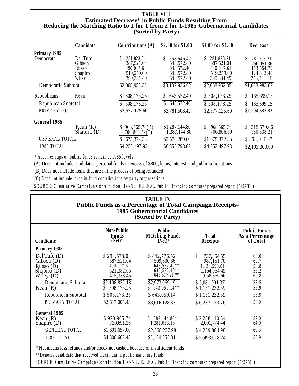#### **TABLE VIII Estimated Decrease\* in Public Funds Resulting From Reducing the Matching Ratio to 1 for 1 from 2 for 1-1985 Gubernatorial Candidates (Sorted by Party)**

|                      | Candidate   | Contributions $(A)$        | \$2.00 for \$1.00          | \$1.00 for \$1.00 | <b>Decrease</b>  |
|----------------------|-------------|----------------------------|----------------------------|-------------------|------------------|
| Primary 1985         |             |                            |                            |                   |                  |
| Democrats:           | Del Tufo    | 281,823.21                 | 563,646.42<br>S            | 281,823.21<br>S   | S.<br>281,823.21 |
|                      | Gibson      | 387,521.04                 | 643,572.40                 | 387,521.04        | 256,051.36       |
|                      | Russo       | 490,017.61                 | 643,572.40                 | 490,017.61        | 153,554.79       |
|                      | Shapiro     | 519,259.00                 | 643,572.40                 | 519,259.00        | 124,313.40       |
|                      | Wiley       | 390, 331.49                | 643,572.40                 | 390, 331.49       | 253,240.91       |
| Democratic Subtotal  |             | \$2,068,952.35             | $\overline{33,137,936.02}$ | \$2,068,952.35    | \$1,068,983.67   |
|                      |             |                            |                            |                   |                  |
| Republicans:         | Kean        | 508,173.25<br>$\mathbb{S}$ | 643,572.40<br>S            | \$508,173.25      | 135,399.15<br>S  |
| Republican Subtotal  |             | 508,173.25                 | \$643,572.40               | \$508,173.25      | 135,399.15<br>\$ |
| PRIMARY TOTAL        |             | \$2,577,125.60             | \$3,781,508.42             | \$2,577,125.60    | \$1,204,382.82   |
|                      |             |                            |                            |                   |                  |
| General 1985         |             |                            |                            |                   |                  |
|                      | Kean $(R)$  | \$968,565.74(B)            | \$1,287,144.80             | S<br>968,565.74   | 318,579.06<br>S. |
|                      | Shapiro (D) | 706,806.59(C)              | 1,287,144.80               | 706,806.59        | 580,338.21       |
| <b>GENERAL TOTAL</b> |             | \$1,675,372.33             | \$2,574,289.60             | \$1,675,372.33    | \$898,917.27     |
| 1985 TOTAL           |             | \$4,252,497.93             | \$6,355,798.02             | \$4,252,497.93    | \$2,103,300.09   |
|                      |             |                            |                            |                   |                  |

\* Assumes caps on public funds remain at 1985 levels

(A) Does not include candidates' personal funds in excess of \$800, loans, interest, and public solicitations

(B) Does not include items that are in the process of being refunded

(C) Does not include large in-kind contributions by party organizations

SOURCE: Cumulative Campaign Contribution List-N.J. E.L.E.C. Public Financing computer prepared report (5/27/86)

| <b>TABLE IX</b><br><b>Public Funds as a Percentage of Total Campaign Receipts-</b><br><b>1985 Gubernatorial Candidates</b><br>(Sorted by Party)      |                                                                                                                                        |                                                                                                                                                     |                                                                                                                                                                   |                                                                                   |  |
|------------------------------------------------------------------------------------------------------------------------------------------------------|----------------------------------------------------------------------------------------------------------------------------------------|-----------------------------------------------------------------------------------------------------------------------------------------------------|-------------------------------------------------------------------------------------------------------------------------------------------------------------------|-----------------------------------------------------------------------------------|--|
| Candidate                                                                                                                                            | <b>Non-Public</b><br>Funds<br>$(Net)*$                                                                                                 | <b>Public</b><br><b>Matching Funds</b><br>$(Net)*$                                                                                                  | Total<br>Receipts                                                                                                                                                 | <b>Public Funds</b><br>As a Percentage<br>of Total                                |  |
| Primary 1985                                                                                                                                         |                                                                                                                                        |                                                                                                                                                     |                                                                                                                                                                   |                                                                                   |  |
| $Del$ Tufo $(D)$<br>Gibson(D)<br>Russo(D)<br>Shapiro $(D)$<br>Wiley (D)<br>Democratic Subtotal<br>Kean $(R)$<br>Republican Subtotal<br>PRIMARY TOTAL | \$294,578.03<br>387,521.04<br>490,017.61<br>521,382.05<br>415,333.45<br>\$2,108,832.18<br>508,173.25<br>\$508,173.25<br>\$2,617,005.43 | \$442,776.52<br>599,630.66<br>643,572.40**<br>643,572.40**<br>$643.517.21$ **<br>\$2,973,069.19<br>$643,059.14**$<br>\$643,059.14<br>\$3,616,128.33 | S<br>737,354.55<br>987,151.70<br>1,133,590.01<br>1,164,954.45<br>1,058,850.66<br>\$5,081,901.37<br>\$1,151,232.39<br>$\overline{$}1,151,232.39$<br>\$6,233,133.76 | 60.0<br>60.7<br>56.8<br>55.2<br>60.8<br>58.5<br>55.9<br>$\overline{55.9}$<br>58.0 |  |
| General 1985<br>Kean $(R)$<br>Shapiro $(D)$<br><b>GENERAL TOTAL</b><br>1985 TOTAL                                                                    | \$970,965.74<br>720,691.26<br>\$1,691,657.00<br>\$4,308,662.43                                                                         | $$1,287,144.80**$<br>1,281,083.18<br>\$2,568,227.98<br>\$6,184,356.31                                                                               | \$2,258,110.54<br>2,001,774.44<br>\$4,259,884.98<br>\$10,493,018.74                                                                                               | 57.0<br>64.0<br>60.3<br>58.9                                                      |  |

\* Net means less refunds and/or check not cashed because of insufficient funds

\*\*Denotes candidate that received maximum in public matching funds

SOURCE: Cumulative Campaign Contribution List-N.J . E.L.E.C . Public Financing computer prepared report (5/27/86)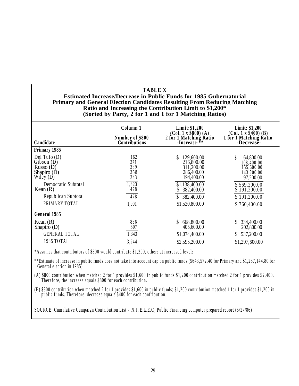#### **TABLE X Estimated Increase/Decrease in Public Funds for 1985 Gubernatorial Primary and General Election Candidates Resulting From Reducing Matching Ratio and Increasing the Contribution Limit to \$1,200\* (Sorted by Party, 2 for 1 and 1 for 1 Matching Ratios)**

| Candidate                                                              | Column 1<br>Number of \$800<br><b>Contributions</b> | Limit:\$1,200<br>$2$ for 1 Matching Ratio<br>-Increase-**                | Limit: \$1,200<br>$(Col. 1 x $400) (B)$<br>1 for 1 Matching Ratio<br>-Decrease- |
|------------------------------------------------------------------------|-----------------------------------------------------|--------------------------------------------------------------------------|---------------------------------------------------------------------------------|
| Primary 1985                                                           |                                                     |                                                                          |                                                                                 |
| Del Tufo $(D)$<br>Gibson (D)<br>Russo(D)<br>Shapiro $(D)$<br>Wiley (D) | 162<br>271<br>389<br>358<br>243                     | S.<br>129,600.00<br>216,800.00<br>311,200.00<br>286,400.00<br>194,400.00 | 64,800.00<br>108,400.00<br>155,600.00<br>143,200.00<br>97,200.00                |
| Democratic Subtotal<br>Kean $(R)$                                      | 1,423<br>478                                        | \$1,138,400.00<br>382,400.00                                             | \$569,200.00<br>191,200.00                                                      |
| Republican Subtotal                                                    | 478                                                 | 382,400.00                                                               | \$191,200.00                                                                    |
| PRIMARY TOTAL                                                          | 1,901                                               | \$1,520,800.00                                                           | \$760,400.00                                                                    |
| <b>General 1985</b>                                                    |                                                     |                                                                          |                                                                                 |
| Kean $(R)$<br>Shapiro (D)                                              | 836<br>507                                          | 668,800.00<br>405,600.00                                                 | 334,400.00<br>202,800.00                                                        |
| <b>GENERAL TOTAL</b>                                                   | 1,343                                               | \$1,074,400.00                                                           | 537,200.00                                                                      |
| 1985 TOTAL                                                             | 3,244                                               | \$2,595,200.00                                                           | \$1,297,600.00                                                                  |

\*Assumes that contributors of \$800 would contribute \$1,200, others at increased levels

\*\*Estimate of increase in public funds does not take into account cap on public funds (\$643,572.40 for Primary and \$1,287,144.80 for General election in 1985)

(A) \$800 contribution when matched 2 for 1 provides \$1,600 in public funds \$1,200 contribution matched 2 for 1 provides \$2,400. Therefore, the increase equals \$800 for each contribution.

(B) \$800 contribution when matched 2 for 1 provides \$1,600 in public funds; \$1,200 contribution matched 1 for 1 provides \$1,200 in public funds. Therefore, decrease equals \$400 for each contribution.

SOURCE: Cumulative Campaign Contribution List - N.J. E.L.E.C , Public Financing computer prepared report (5/27/86)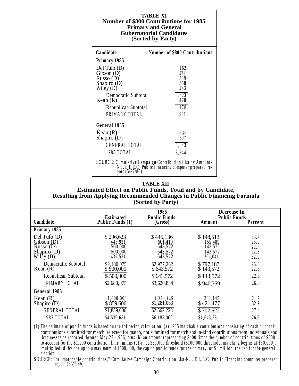| <b>TABLE XI</b><br><b>Number of \$800 Contributions for 1985</b><br><b>Primary and General</b><br><b>Gubernatorial Candidates</b><br>(Sorted by Party) |                                                                                                                               |  |  |  |
|--------------------------------------------------------------------------------------------------------------------------------------------------------|-------------------------------------------------------------------------------------------------------------------------------|--|--|--|
| Candidate                                                                                                                                              | <b>Number of \$800 Contributions</b>                                                                                          |  |  |  |
| Primary 1985                                                                                                                                           |                                                                                                                               |  |  |  |
| Del Tufo $(D)$<br>Gibson(D)                                                                                                                            | 162<br>271                                                                                                                    |  |  |  |
| Russo $(D)$                                                                                                                                            | 389                                                                                                                           |  |  |  |
| Shapiro $(D)$<br>Wiley (D)                                                                                                                             | 358<br>243                                                                                                                    |  |  |  |
| Democratic Subtotal<br>Kean $(R)$                                                                                                                      | 1,423<br>478                                                                                                                  |  |  |  |
| Republican Subtotal                                                                                                                                    | 478                                                                                                                           |  |  |  |
| PRIMARY TOTAL                                                                                                                                          | 1,901                                                                                                                         |  |  |  |
| General 1985                                                                                                                                           |                                                                                                                               |  |  |  |
| Kean $(R)$<br>Shapiro (D)                                                                                                                              | 836<br>507                                                                                                                    |  |  |  |
| <b>GENERAL TOTAL</b>                                                                                                                                   | 1,343                                                                                                                         |  |  |  |
| 1985 TOTAL                                                                                                                                             | 3,244                                                                                                                         |  |  |  |
|                                                                                                                                                        | SOURCE: Cumulative Campaign Contribution List by Amount-<br>N.J. E.L.E.C. Public Financing computer prepared report (5/27/86) |  |  |  |

#### **Estimated Effect on Public Funds, Total and by Candidate, Resulting from Applying Recommended Changes in Public Financing Formula (Sorted by Party)**

|                                                                            |                                                       | 1985                                                  | Decrease In                                           |                                      |  |
|----------------------------------------------------------------------------|-------------------------------------------------------|-------------------------------------------------------|-------------------------------------------------------|--------------------------------------|--|
| Candidate                                                                  | <b>Estimated</b><br>Public Funds (1)                  | <b>Public Funds</b><br>(Gross)                        | <b>Public Funds</b><br>Amount                         | Percent                              |  |
| Primary 1985                                                               |                                                       |                                                       |                                                       |                                      |  |
| Del Tufo $(D)$<br>Gibson(D)<br>Russo $(D)$<br>Shapiro $(D)$<br>Wiley $(D)$ | \$296,623<br>445,921<br>500,000<br>500,000<br>437,531 | \$445,136<br>601,410<br>643,572<br>643,572<br>643,572 | \$148,513<br>155,489<br>143,572<br>143,572<br>206,041 | 33.4<br>25.9<br>22.3<br>22.3<br>32.0 |  |
| Democratic Subtotal<br>Kean $(R)$                                          | \$2,180,075<br>\$500,000                              | \$2,977,262<br>\$643,572                              | \$797,187<br>\$143,572                                | 26.8<br>22.3                         |  |
| Republican Subtotal                                                        | \$500,000                                             | \$643,572                                             | \$143,572                                             | 22.3                                 |  |
| PRIMARY TOTAL                                                              | \$2,680,075                                           | \$3,620,834                                           | \$940,759                                             | 26.0                                 |  |
| General 1985                                                               |                                                       |                                                       |                                                       |                                      |  |
| Kean $(R)$<br>Shapiro $(D)$<br><b>GENERAL TOTAL</b><br>1985 TOTAL          | 1,000,000<br>\$859,606<br>\$1,859,606<br>\$4,539,681  | .281,145<br>\$1,281,083<br>\$2,562,228<br>\$6,183,062 | 281,145<br>\$421,477<br>\$702,622<br>\$1,643,381      | 21.9<br>32.9<br>27.4<br>26.6         |  |
|                                                                            |                                                       |                                                       |                                                       |                                      |  |

(1) The estimate of public funds is based on the following calculation: (a) 1985 matchable contributions consisting of cash or check contributions submitted for match, rejected for match, not submitted for match and in-kind contributions from individuals and businesses as reported through May 27, 1986, plus (b) an amount representing \$400 times the number of contributions of \$800 to account for the \$1,200 contribution limit, minus (c) a net \$50,000 threshold (\$100,000 threshold, matching begins at \$50,000), multiplied (d) by one up to a maximum of \$500,000, the cap on public funds for the primary, or \$1 million, the cap for the general election.

SOURCE: For ''matchable contributions,'' Cumulative Campaign Contribution List-N.J. E.L.E.C . Public Financing computer prepared report (5/27/86)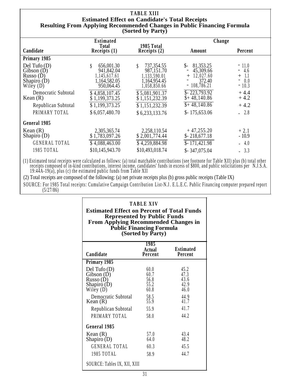|                             | <b>TABLE XIII</b>                                                              |                              |                               |                                 |  |  |  |
|-----------------------------|--------------------------------------------------------------------------------|------------------------------|-------------------------------|---------------------------------|--|--|--|
|                             | <b>Estimated Effect on Candidate's Total Receipts</b>                          |                              |                               |                                 |  |  |  |
|                             | <b>Resulting From Applying Recommended Changes in Public Financing Formula</b> |                              |                               |                                 |  |  |  |
|                             |                                                                                | (Sorted by Party)            |                               |                                 |  |  |  |
|                             | <b>Estimated</b>                                                               |                              | Change                        |                                 |  |  |  |
| Candidate                   | <b>Total</b><br>Receipts $(1)$                                                 | 1985 Total<br>Receipts $(2)$ | Amount                        | Percent                         |  |  |  |
| Primary 1985                |                                                                                |                              |                               |                                 |  |  |  |
|                             |                                                                                |                              |                               |                                 |  |  |  |
| Del Tufo $(D)$              | 656,001.30                                                                     | 737,354.55<br>\$             | 81,353.25<br>$S-$             | $-11.0$                         |  |  |  |
| Gibson $(D)$<br>Russo $(D)$ | 941,842.04<br>1,145,617.61                                                     | 987,151.70<br>1,133,590.01   | 45,309.66<br>12,027.60<br>$+$ | $-4.6$<br>$+ 1.1$               |  |  |  |
| Shapiro $(D)$               | 1,164,582.05                                                                   | 1,164,954.45                 | 372.40                        | 0.0<br>$\overline{\phantom{a}}$ |  |  |  |
| Wiley $(D)$                 | 950,064.45                                                                     | 1,058,850.66                 | $-108,786.21$                 | $-10.3$                         |  |  |  |
| Democratic Subtotal         | \$4,858,107.45                                                                 | \$5,081,901.37               | $$-223,793.92$                | $+4.4$                          |  |  |  |
| Kean $(R)$                  | \$1,199,373.25                                                                 | \$1,151,232.39               | $$+48,140.86$                 | $+4.2$                          |  |  |  |
| Republican Subtotal         | \$1,199,373.25                                                                 | \$1,151,232.39               | $$+48,140.86$                 | $+4.2$                          |  |  |  |
| PRIMARY TOTAL               | \$6,057,480.70                                                                 | \$6,233,133.76               | $$-175,653.06$                | $-2.8$                          |  |  |  |
| General 1985                |                                                                                |                              |                               |                                 |  |  |  |
| Kean $(R)$                  | 2,305,365.74                                                                   | 2,258,110.54                 | $+47,255.20$                  | $+2.1$                          |  |  |  |
| Shapiro $(D)$               | \$1,783,097.26                                                                 | \$2,001,774.44               | $$-218,677.18$                | $-10.9$                         |  |  |  |
| <b>GENERAL TOTAL</b>        | \$4,088,463.00                                                                 | \$4,259,884.98               | $$-171,421.98$                | $-4.0$                          |  |  |  |
| 1985 TOTAL                  | \$10,145,943.70                                                                | \$10,493,018.74              | $$-347,075.04$                | $-3.3$                          |  |  |  |
|                             |                                                                                |                              |                               |                                 |  |  |  |

(1) Estimated total receipts were calculated as follows: (a) total matchable contributions (see footnote for Table XII) plus (b) total other receipts composed of in-kind contributions, interest income, candidates' funds in excess of \$800, and public solicitations per N.J.S.A. 19:44A-19(a), plus (c) the estimated public funds from Table XII

(2) Total receipts are composed of the following: (a) net private receipts plus (b) gross public receipts (Table IX)

SOURCE: For 1985 Total receipts: Cumulative Campaign Contribution List-N.J . E.L.E.C. Public Financing computer prepared report (5/27/86)

| <b>TABLE XIV</b><br><b>Estimated Effect on Percent of Total Funds</b><br><b>Represented by Public Funds</b><br><b>From Applying Recommended Changes in</b><br><b>Public Financing Formula</b><br>(Sorted by Party) |                                                                      |                                                                      |  |  |  |  |
|--------------------------------------------------------------------------------------------------------------------------------------------------------------------------------------------------------------------|----------------------------------------------------------------------|----------------------------------------------------------------------|--|--|--|--|
| 1985<br><b>Estimated</b><br><b>Actual</b><br>Candidate<br><b>Percent</b><br>Percent                                                                                                                                |                                                                      |                                                                      |  |  |  |  |
| Primary 1985                                                                                                                                                                                                       |                                                                      |                                                                      |  |  |  |  |
| Del Tufo $(D)$<br>Gibson(D)<br>Russo (D)<br>Shapiro (D)<br>Wiley $(D)$<br>Democratic Subtotal<br>Kean (R)<br>Republican Subtotal<br>PRIMARY TOTAL                                                                  | 60.0<br>60.7<br>56.8<br>55.2<br>60.8<br>58.5<br>55.9<br>55.9<br>58.0 | 45.2<br>47.3<br>43.6<br>42.9<br>46.0<br>44.9<br>41.7<br>41.7<br>44.2 |  |  |  |  |
| General 1985                                                                                                                                                                                                       |                                                                      |                                                                      |  |  |  |  |
| Kean $(R)$<br>Shapiro $(D)$<br><b>GENERAL TOTAL</b><br>1985 TOTAL                                                                                                                                                  | 57.0<br>64.0<br>60.3<br>58.9                                         | 43.4<br>48.2<br>45.5<br>44.7                                         |  |  |  |  |
| SOURCE: Tables IX, XII, XIII                                                                                                                                                                                       |                                                                      |                                                                      |  |  |  |  |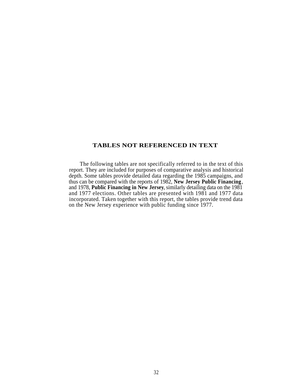#### **TABLES NOT REFERENCED IN TEXT**

The following tables are not specifically referred to in the text of this report. They are included for purposes of comparative analysis and historical depth. Some tables provide detailed data regarding the 1985 campaigns, and thus can be compared with the reports of 1982, **New Jersey Public Financing**, and 1978, **Public Financing in New Jersey**, similarly detailing data on the 1981 and 1977 elections. Other tables are presented with 1981 and 1977 data incorporated. Taken together with this report, the tables provide trend data on the New Jersey experience with public funding since 1977.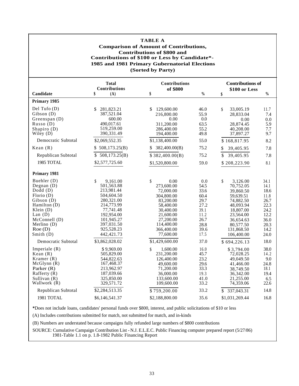#### **TABLE A**

#### **Comparison of Amount of Contributions, Contributions of \$800 and Contributions of \$100 or Less by Candidate\*- 1985 and 1981 Primary Gubernatorial Elections (Sorted by Party)**

|                                                                                                                                                                            | <b>Total</b><br>Contributions                                                                                                                                             | <b>Contributions</b><br>of \$800                                                                                                                              |                                                                                             | <b>Contributions of</b>                                                                                                                                         |                                                                                              |
|----------------------------------------------------------------------------------------------------------------------------------------------------------------------------|---------------------------------------------------------------------------------------------------------------------------------------------------------------------------|---------------------------------------------------------------------------------------------------------------------------------------------------------------|---------------------------------------------------------------------------------------------|-----------------------------------------------------------------------------------------------------------------------------------------------------------------|----------------------------------------------------------------------------------------------|
| Candidate                                                                                                                                                                  | \$<br>(A)                                                                                                                                                                 | \$                                                                                                                                                            | $\frac{0}{0}$                                                                               | \$100 or Less<br>\$                                                                                                                                             | $\frac{0}{0}$                                                                                |
| Primary 1985                                                                                                                                                               |                                                                                                                                                                           |                                                                                                                                                               |                                                                                             |                                                                                                                                                                 |                                                                                              |
| Del Tufo $(D)$<br>Gibson(D)<br>Greenspan (D)<br>Russo(D)<br>Shapiro (D)<br>Wiley $(D)$                                                                                     | 281,823.21<br>\$<br>387,521.04<br>600.00<br>490,017.61<br>519,259.00<br>390,331.49                                                                                        | 129,600.00<br>\$<br>216,800.00<br>0.00<br>311,200.00<br>286,400.00<br>194,400.00                                                                              | 46.0<br>55.9<br>0.0<br>63.5<br>55.2<br>49.8                                                 | 33,005.19<br>\$<br>28,833.04<br>0.00<br>28,874.45<br>40,208.00<br>37,897.27                                                                                     | 11.7<br>7.4<br>0.0<br>5.9<br>7.7<br>9.7                                                      |
| Democratic Subtotal                                                                                                                                                        | \$2,069,552.35                                                                                                                                                            | \$1,138,400.00                                                                                                                                                | 55.0                                                                                        | \$168,817.95                                                                                                                                                    | 8.2                                                                                          |
| Kean $(R)$                                                                                                                                                                 | \$508,173.25(B)                                                                                                                                                           | 382,400.00(B)<br>S.                                                                                                                                           | 75.2                                                                                        | \$<br>39,405.95                                                                                                                                                 | 7.8                                                                                          |
| Republican Subtotal                                                                                                                                                        | 508, 173.25(B)<br>\$                                                                                                                                                      | \$382,400.00(B)                                                                                                                                               | 75.2                                                                                        | \$<br>39,405.95                                                                                                                                                 | 7.8                                                                                          |
| 1985 TOTAL                                                                                                                                                                 | \$2,577,725.60                                                                                                                                                            | \$1,520,800.00                                                                                                                                                | 59.0                                                                                        | \$208,223.90                                                                                                                                                    | 8.1                                                                                          |
| Primary 1981                                                                                                                                                               |                                                                                                                                                                           |                                                                                                                                                               |                                                                                             |                                                                                                                                                                 |                                                                                              |
| Buehler (D)<br>Degnan $(D)$<br>$Dodd$ (D)<br>Florio(D)<br>Gibson(D)<br>Hamilton (D)<br>Klein $(D)$<br>Lan $(D)$<br>McConnell (D)<br>Merlino $(D)$<br>Roe(D)<br>Smith $(D)$ | \$<br>9.161.00<br>501,563.88<br>213,981.44<br>504,604.50<br>280,321.00<br>214,773.99<br>77,741.48<br>192,954.00<br>101,945.27<br>397,031.50<br>925,528.23<br>442, 421. 73 | \$<br>0.00<br>273,600.00<br>72,000.00<br>304,800.00<br>83,200.00<br>58,400.00<br>30,400.00<br>21,600.00<br>27,200.00<br>114,400.00<br>366,400.00<br>77,600.00 | 0.0<br>54.5<br>33.6<br>60.4<br>29.7<br>27.2<br>39.1<br>11.2<br>26.7<br>28.8<br>39.6<br>17.5 | \$<br>3,126.00<br>70,752.05<br>39,860.50<br>59,639.51<br>74,882.50<br>48,093.94<br>18,807.00<br>23,564.00<br>36,654.63<br>80,577.50<br>131,868.50<br>106,400.00 | 34.1<br>14.1<br>18.6<br>11.8<br>26.7<br>22.3<br>24.2<br>12.2<br>36.0<br>20.3<br>14.2<br>24.0 |
| Democratic Subtotal                                                                                                                                                        | \$3,862,028.02                                                                                                                                                            | \$1,429,600.00                                                                                                                                                | 37.0                                                                                        | \$694,226.13                                                                                                                                                    | 18.0                                                                                         |
| Imperiale $(R)$<br>Kean $(R)$<br>Kramer $(R)$<br>McGlynn(R)<br>Parker (R)<br>Rafferty $(R)$<br>Sullivan (R)<br>Wallwork (R)                                                | \$9,969.00<br>505,829.00<br>544,822.63<br>167,468.37<br>213,962.97<br>187,039.66<br>325,850.00<br>329,571.72                                                              | 1,600.00<br>\$<br>231,200.00<br>126,400.00<br>49,600.00<br>71,200.00<br>36,000.00<br>133,600.00<br>109,600.00                                                 | 16.0<br>45.7<br>23.2<br>29.6<br>33.3<br>19.3<br>41.0<br>33.2                                | \$3,794.00<br>72,028.25<br>49,049.50<br>41,466.00<br>38,749.50<br>36,342.00<br>21,255.00<br>74,359.06                                                           | 38.0<br>14.2<br>9.0<br>24.8<br>18.1<br>19.4<br>6.5<br>22.6                                   |
| Republican Subtotal                                                                                                                                                        | \$2,284,513.35                                                                                                                                                            | \$759,200.00                                                                                                                                                  | 33.2                                                                                        | 337,043.31<br>\$                                                                                                                                                | 14.8                                                                                         |
| 1981 TOTAL                                                                                                                                                                 | \$6,146,541.37                                                                                                                                                            | \$2,188,800.00                                                                                                                                                | 35.6                                                                                        | \$1,031,269.44                                                                                                                                                  | 16.8                                                                                         |

**\***Does not include loans, candidates' personal funds over \$800, interest, and public solicitations of \$10 or less

(A) Includes contributions submitted for match, not submitted for match, and in-kinds

(B) Numbers are understated because campaigns fully refunded large numbers of \$800 contributions

SOURCE: Cumulative Campaign Contribution List - N.J. E.L.E.C. Public Financing computer prepared report (5/27/86) 1981-Table 1.1 on p. 1.8-1982 Public Financing Report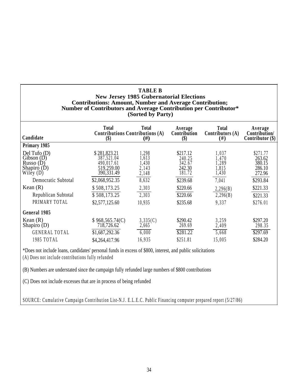| <b>TABLE B</b><br><b>New Jersey 1985 Gubernatorial Elections</b><br><b>Contributions: Amount, Number and Average Contribution;</b><br>Number of Contributors and Average Contribution per Contributor*<br>(Sorted by Party) |                                                                                                                                           |                                                                                |                                                                                                  |                                                                                    |                                                                                                  |  |
|-----------------------------------------------------------------------------------------------------------------------------------------------------------------------------------------------------------------------------|-------------------------------------------------------------------------------------------------------------------------------------------|--------------------------------------------------------------------------------|--------------------------------------------------------------------------------------------------|------------------------------------------------------------------------------------|--------------------------------------------------------------------------------------------------|--|
| Candidate                                                                                                                                                                                                                   | <b>Total</b><br><b>Contributions Contributions (A)</b><br>$\left( \text{\$}\right)$                                                       | <b>Total</b><br>#)                                                             | Average<br>Contribution<br>$\left( \text{\$}\right)$                                             | <b>Total</b><br>Contributors $(A)$<br>(# )                                         | Average<br>Contribution/<br>Contributor $(\$)$                                                   |  |
| Primary 1985                                                                                                                                                                                                                |                                                                                                                                           |                                                                                |                                                                                                  |                                                                                    |                                                                                                  |  |
| Del Tufo $(D)$<br>$\text{Gibson}$ (D)<br>Russo $(D)$<br>Shapiro $(D)$<br>Wiley $(D)$<br>Democratic Subtotal<br>Kean $(R)$<br>Republican Subtotal<br>PRIMARY TOTAL                                                           | \$281,823.21<br>387,521.04<br>490,017.61<br>519,259.00<br>390, 331.49<br>\$2,068,952.35<br>\$508,173.25<br>\$508,173.25<br>\$2,577,125.60 | 1,298<br>1,613<br>1,430<br>2,143<br>2,148<br>8,632<br>2,303<br>2,303<br>10,935 | \$217.12<br>240.25<br>342.67<br>242.30<br>181.72<br>\$239.68<br>\$220.66<br>\$220.66<br>\$235.68 | 1,037<br>1,470<br>1,289<br>,815<br>1,430<br>7,041<br>2,296(B)<br>2,296(B)<br>9,337 | \$271.77<br>263.62<br>380.15<br>286.10<br>272.96<br>\$293.84<br>\$221.33<br>\$221.33<br>\$276.01 |  |
| General 1985                                                                                                                                                                                                                |                                                                                                                                           |                                                                                |                                                                                                  |                                                                                    |                                                                                                  |  |
| Kean $(R)$<br>Shapiro $(D)$                                                                                                                                                                                                 | \$968,565.74(C)<br>718,726.62                                                                                                             | 3,335(C)<br>2,665                                                              | \$290.42<br>269.69                                                                               | 3,259<br>2,409                                                                     | \$297.20<br>298.35                                                                               |  |
| <b>GENERAL TOTAL</b>                                                                                                                                                                                                        | \$1,687,292.36                                                                                                                            | 6,000                                                                          | \$281.22                                                                                         | 5,668                                                                              | \$297.69                                                                                         |  |
| 1985 TOTAL                                                                                                                                                                                                                  | \$4,264,417.96                                                                                                                            | 16,935                                                                         | \$251.81                                                                                         | 15,005                                                                             | \$284.20                                                                                         |  |
| *Does not include loans, candidates' personal funds in excess of \$800, interest, and public solicitations                                                                                                                  |                                                                                                                                           |                                                                                |                                                                                                  |                                                                                    |                                                                                                  |  |

(A) Does not include contributions fully refunded

(B) Numbers are understated since the campaign fully refunded large numbers of \$800 contributions

(C) Does not include excesses that are in process of being refunded

SOURCE: Cumulative Campaign Contribution List-N.J . E.L.E.C. Public Financing computer prepared report (5/27/86)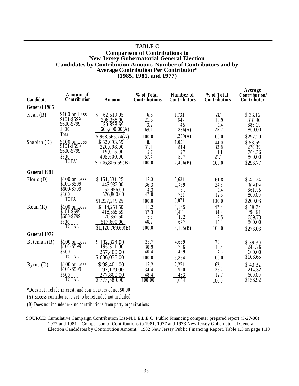| <b>TABLE C</b><br><b>Comparison of Contributions to</b>                                                                                                                     |                                                               |                                                                                     |                                                   |                                          |                                      |                                                   |
|-----------------------------------------------------------------------------------------------------------------------------------------------------------------------------|---------------------------------------------------------------|-------------------------------------------------------------------------------------|---------------------------------------------------|------------------------------------------|--------------------------------------|---------------------------------------------------|
| <b>New Jersey Gubernatorial General Election</b><br><b>Candidates by Contribution Amount, Number of Contributors and by</b><br><b>Average Contribution Per Contributor*</b> |                                                               |                                                                                     |                                                   |                                          |                                      |                                                   |
| (1985, 1981, and 1977)                                                                                                                                                      |                                                               |                                                                                     |                                                   |                                          |                                      |                                                   |
| Candidate                                                                                                                                                                   | Amount of<br>Contribution                                     | Amount                                                                              | % of Total<br>Contributions                       | Number of<br><b>Contributors</b>         | % of Total<br>Contributors           | Average<br>Contribution/<br>Contributor           |
| General 1985                                                                                                                                                                |                                                               |                                                                                     |                                                   |                                          |                                      |                                                   |
| Kean $(R)$                                                                                                                                                                  | \$100 or Less<br>\$101-\$599<br>\$600-\$799<br>\$800          | 62,519.05<br>\$<br>206,368.00<br>30,878.69<br>668,800.00(A)                         | 6.5<br>21.3<br>3.2<br>69.1                        | 1,731<br>647<br>45<br>836(A)             | 53.1<br>19.9<br>1.4<br>25.7          | \$36.12<br>318.96<br>686.19<br>800.00             |
| Shapiro $(D)$                                                                                                                                                               | Total<br>\$100 or Less<br>\$101-\$599<br>\$600-\$799<br>\$800 | \$968,565.74(A)<br>\$62,093.59<br>220,098.00<br>19,015.00<br>405,600.00             | 100.0<br>8.8<br>31.1<br>2.7<br>57.4               | 3,259(A)<br>1,058<br>814<br>27<br>507    | 100.0<br>44.0<br>33.8<br>1.1<br>21.1 | \$297.20<br>\$58.69<br>270.39<br>704.26<br>800.00 |
|                                                                                                                                                                             | TOTAL                                                         | $\overline{$}706.806.59(B)$                                                         | 100.0                                             | 2,406(B)                                 | 100.0                                | \$293.77                                          |
| <b>General 1981</b>                                                                                                                                                         |                                                               |                                                                                     |                                                   |                                          |                                      |                                                   |
| Florio $(D)$                                                                                                                                                                | \$100 or Less<br>\$101-\$599<br>\$600-\$799<br>\$800<br>TOTAL | \$151,531.25<br>445,932.00<br>52,956.00<br>576,800.00<br>$\overline{$1,227,219.25}$ | 12.3<br>36.3<br>$4.\overline{3}$<br>47.0<br>100.0 | 3,631<br>1,439<br>80<br>721<br>5,871     | 61.8<br>24.5<br>1.4<br>12.3<br>100.0 | \$41.74<br>309.89<br>661.95<br>800.00<br>\$209.03 |
| Kean $(R)$                                                                                                                                                                  | \$100 or Less<br>\$101-\$599<br>\$600-\$799<br>\$800<br>TOTAL | \$114,251.50<br>418,565.69<br>70,352.50<br>517,600.00<br>\$1,120,769.69(B)          | 10.2<br>37.3<br>6.3<br>46.2<br>100.0              | 1,945<br>1.411<br>102<br>647<br>4,105(B) | 47.4<br>34.4<br>2.5<br>15.8<br>100.0 | \$58.74<br>296.64<br>689.73<br>800.00<br>\$273.03 |
| <b>General 1977</b>                                                                                                                                                         |                                                               |                                                                                     |                                                   |                                          |                                      |                                                   |
| Bateman $(R)$                                                                                                                                                               | \$100 or Less<br>\$101-\$599<br>\$600<br>TOTAL                | \$182,324.00<br>196,311.00<br>257,400.00<br>\$636,035.00                            | 28.7<br>30.9<br>40.4<br>100.0                     | 4,639<br>786<br>429<br>5,854             | $79.3$<br>$13.4$<br>7.3<br>100.0     | $$39.30$<br>$249.76$<br>600.00<br>\$108.65        |
| Byrne $(D)$                                                                                                                                                                 | \$100 or Less<br>\$101-\$599<br>\$600<br>TOTAL                | \$98,401.00<br>197,179.00<br>277,800.00<br>\$573,380.00                             | 17.2<br>34.4<br>48.4<br>100.00                    | 2.271<br>920<br>463<br>3,654             | 62.1<br>25.2<br>12.7<br>100.0        | \$43.32<br>214.32<br>600.00<br>\$156.92           |

**\***Does not include interest, and contributors of net \$0.00

(A) Excess contributions yet to be refunded not included

(B) Does not include in-kind contributions from party organizations

SOURCE: Cumulative Campaign Contribution List-N.J. E.L.E.C. Public Financing computer prepared report (5-27-86) 1977 and 1981 -"Comparison of Contributions to 1981, 1977 and 1973 New Jersey Gubernatorial General Election Candidates by Contribution Amount,'' 1982 New Jersey Public Financing Report, Table 1.3 on page 1.10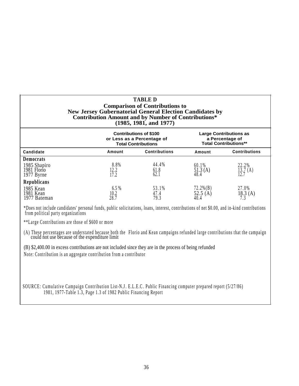#### **TABLE D Comparison of Contributions to New Jersey Gubernatorial General Election Candidates by Contribution Amount and by Number of Contributions\* (1985, 1981, and 1977)**

|                                           |                                | <b>Contributions of \$100</b><br>or Less as a Percentage of<br><b>Total Contributions</b> | <b>Large Contributions as</b><br>a Percentage of<br><b>Total Contributions**</b> |                                  |  |
|-------------------------------------------|--------------------------------|-------------------------------------------------------------------------------------------|----------------------------------------------------------------------------------|----------------------------------|--|
| Candidate                                 | <b>Contributions</b><br>Amount |                                                                                           | Amount                                                                           | <b>Contributions</b>             |  |
| Democrats                                 |                                |                                                                                           |                                                                                  |                                  |  |
| 1985 Shapiro<br>1981 Florio<br>1977 Byrne | 8.8%<br>12.2<br>17.2           | 44.4%<br>$61.8$<br>$62.1$                                                                 | 60.1%<br>$\frac{51.3}{48.4}$ (A)                                                 | 22.2%<br>$\frac{13.7}{12.7}$ (A) |  |
| Republicans                               |                                |                                                                                           |                                                                                  |                                  |  |
| 1985 Kean<br>1981 Kean<br>1977 Bateman    | 6.5%<br>10.2<br>28.7           | 53.1%<br>47.4<br>79.3                                                                     | $72.2\%$ (B)<br>$52.5$ (A) $40.4$                                                | 27.0%<br>18.3(A)                 |  |

\*Does not include candidates' personal funds, public solicitations, loans, interest, contributions of net \$0.00, and in-kind contributions from political party organizations

\*\*Large Contributions are those of \$600 or more

(A) These percentages are understated because both the Florio and Kean campaigns refunded large contributions that the campaign could not use because of the expenditure limit

(B) \$2,400.00 in excess contributions are not included since they are in the process of being refunded

Note: Contribution is an aggregate contribution from a contributor

SOURCE: Cumulative Campaign Contribution List-N.J . E.L.E.C . Public Financing computer prepared report (5/27/86) 1981, 1977-Table 1.3, Page 1.3 of 1982 Public Financing Report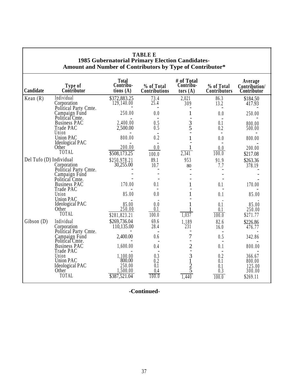| ocrnatorial i rimary Election Candidates<br>Amount and Number of Contributors by Type of Contributor* |                                                              |                                          |                             |                                       |                            |                                         |
|-------------------------------------------------------------------------------------------------------|--------------------------------------------------------------|------------------------------------------|-----------------------------|---------------------------------------|----------------------------|-----------------------------------------|
| Candidate                                                                                             | Type of<br>Contributor                                       | <b>Total</b><br>Contribu-<br>tions $(A)$ | % of Total<br>Contributions | # of Total<br>Contribu-<br>tors $(A)$ | % of Total<br>Contributors | Average<br>Contribution/<br>Contributor |
| Kean $(R)$                                                                                            | Individual<br>Corporation                                    | \$372,883.25<br>129,140.00               | 73.4<br>25.4                | 2,021<br>309                          | 86.3<br>13.2               | \$184.50<br>417.93                      |
|                                                                                                       | Political Party Cmte.<br>Campaign Fund<br>Political Cmte.    | 250.00                                   | 0.0                         |                                       | 0.0                        | 250.00                                  |
|                                                                                                       | <b>Business PAC</b>                                          | 2,400.00                                 | 0.5                         |                                       | 0.1                        | 800.00                                  |
|                                                                                                       | Trade PAC<br>Union                                           | 2,500.00                                 | 0.5                         | $\frac{3}{5}$                         | 0.2                        | 500.00                                  |
|                                                                                                       | <b>Union PAC</b><br>Ideological PAC                          | 800.00                                   | 0.2                         |                                       | 0.0                        | 800.00                                  |
|                                                                                                       | Other                                                        | 200.00                                   | 0.0                         |                                       | 0.0                        | 200.00                                  |
|                                                                                                       | TOTAL                                                        | \$508,173.25                             | 100.0                       | 2,341                                 | 100.0                      | \$217.08                                |
| Del Tufo (D) Individual                                                                               | Corporation<br>Political Party Cmte.                         | \$250,978.21<br>30,255.00                | 89.1<br>10.7                | 953<br>80                             | 91.9<br>7.7                | \$263.36<br>378.19                      |
|                                                                                                       | Campaign Fund                                                |                                          |                             |                                       |                            |                                         |
|                                                                                                       | Political Cmte.<br><b>Business PAC</b><br>Trade PAC          | 170.00                                   | 0.1                         |                                       | 0.1                        | 170.00                                  |
|                                                                                                       | Union<br><b>Union PAC</b>                                    | 85.00                                    | 0.0                         |                                       | 0.1                        | 85.00                                   |
|                                                                                                       | <b>Ideological PAC</b><br>Other<br>TOTAL                     | 85.00<br>250.00<br>\$281,823.21          | 0.0<br>0.1<br>100.0         | 1,037                                 | 0.1<br>0.1<br>100.0        | 85.00<br>250.00<br>\$271.77             |
| Gibson(D)                                                                                             | Individual                                                   | \$269,736.04                             | 69.6                        | 1,189                                 | 82.6                       | \$226.86                                |
|                                                                                                       | Corporation<br>Political Party Cmte.                         | 110,135.00                               | 28.4                        | 231                                   | 16.0                       | 476.77                                  |
|                                                                                                       | Campaign Fund<br>Political Cmte.                             | 2,400.00                                 | 0.6                         | 7                                     | 0.5                        | 342.86                                  |
|                                                                                                       | <b>Business PAC</b><br>Trade PAC                             | 1,600.00                                 | 0.4                         |                                       | 0.1                        | 800.00                                  |
|                                                                                                       | Union<br><b>Union PAC</b><br><b>Ideological PAC</b><br>Other | 1,100.00<br>800.00<br>250.00<br>1,500.00 | 0.3<br>0.2<br>0.1           | $2 - 31$<br>$2 - 5$                   | 0.2<br>0.1<br>0.1<br>0.3   | 366.67<br>800.00<br>125.00<br>300.00    |
|                                                                                                       | TOTAL                                                        | \$387,521.04                             | 100.0                       | 1,440                                 | 100.0                      | \$269.11                                |

# **TABLE E 1985 Gubernatorial Primary Election Candidates-**

**-Continued-**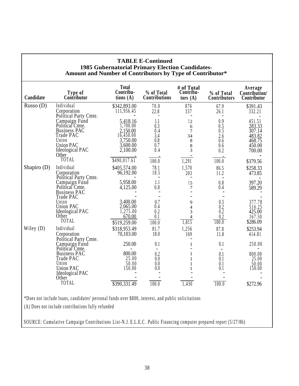| Candidate   | Type of<br>Contributor                        | <b>Total</b><br>Contribu-<br>tions $(A)$ | % of Total<br>Contributions | # of Total<br>Contribu-<br>tors $(A)$    | % of Total<br>Contributors                       | Average<br>Contribution/<br>Contributor |
|-------------|-----------------------------------------------|------------------------------------------|-----------------------------|------------------------------------------|--------------------------------------------------|-----------------------------------------|
| Russo $(D)$ | Individual                                    | \$342,893.00                             | 70.0                        | 876                                      | 67.9                                             | \$391.43                                |
|             | Corporation<br>Political Party Cmte.          | 111,956.45                               | 22.8                        | 337                                      | 26.1                                             | 332.21                                  |
|             | Campaign Fund                                 | 5,418.16                                 | 1.1                         | 12                                       | 0.9                                              | 451.51<br>283.33                        |
|             | Political Cmte.                               | 1,700.00                                 | 0.3                         | 6                                        | 0.5                                              |                                         |
|             | <b>Business PAC</b><br>Trade PAC              | 2,150.00<br>16,450.00                    | 0.4<br>$\overline{3.4}$     | $\overline{7}$                           | 0.5                                              | 307.14                                  |
|             | Union                                         | 3,750.00                                 | 0.8                         | 34<br>8                                  | 2.6<br>0.6                                       | 483.82<br>468.75                        |
|             | <b>Union PAC</b>                              | 3,600.00                                 | 0.7                         | 8                                        | 0.6                                              | 450.00                                  |
|             | Ideological PAC<br>Other                      | 2,100.00                                 | 0.4                         | 3                                        | 0.2                                              | 700.00                                  |
|             | TOTAL                                         | \$490,017.61                             | 100.0                       | 1,291                                    | 100.0                                            | \$379.56                                |
| Shapiro (D) | Individual                                    | \$405,574.00                             | 78.1                        | 1,570                                    | 86.5                                             | \$258.33                                |
|             | Corporation<br>Political Party Cmte.          | 96,192.00                                | 18.5                        | 203                                      | 11.2                                             | 473.85                                  |
|             | Campaign Fund<br>Political <sup>°</sup> Cmte. | 5,958.00                                 | 1.1                         | 15                                       | 0.8                                              | 397.20                                  |
|             | <b>Business PAC</b>                           | 4,125.00                                 | 0.8                         | 7                                        | 0.4                                              | 589.29                                  |
|             | Trade PAC                                     |                                          |                             |                                          |                                                  |                                         |
|             | Union                                         | 3,400.00                                 | 0.7                         | 9                                        |                                                  | 377.78                                  |
|             | <b>Union PAC</b>                              | 2,065.00                                 | 0.4                         | $\overline{4}$                           | $\begin{array}{c} 0.5 \\ 0.2 \\ 0.2 \end{array}$ | 516.25                                  |
|             | Ideological PAC                               | 1,275.00                                 | 0.2                         | 3                                        |                                                  | 425.00                                  |
|             | Other                                         | 670.00                                   | 0.1                         | $\overline{\mathcal{L}}$                 | 0.2                                              | 167.50                                  |
|             | TOTAL                                         | \$519,259.00                             | 100.0                       | 1,815                                    | 100.0                                            | \$286.09                                |
| Wiley (D)   | Individual                                    | \$318,953.49                             | 81.7                        | 1,256                                    | 87.8                                             | \$253.94                                |
|             | Corporation<br>Political Party Cmte.          | 70,103.00                                | 18.0                        | 169                                      | 11.8                                             | 414.81                                  |
|             | Campaign Fund<br>Political Cmte.              | 250.00                                   | 0.1                         | $\mathbf{1}$<br>$\overline{\phantom{0}}$ | 0.1                                              | 250.00                                  |
|             | <b>Business PAC</b>                           | 800.00                                   | 0.2                         | 1                                        | 0.1                                              | 800.00                                  |
|             | Trade PAC                                     | 25.00                                    | 0.0                         | $\mathbf{1}$                             | 0.1                                              | 25.00                                   |
|             | Union                                         | 50.00                                    | 0.0                         | 1                                        | 0.1                                              | 50.00                                   |
|             | <b>Union PAC</b>                              | 150.00                                   | 0.0                         | 1                                        | 0.1                                              | 150.00                                  |
|             | Ideological PAC                               |                                          |                             |                                          |                                                  |                                         |
|             | Other                                         |                                          |                             |                                          |                                                  |                                         |
|             | TOTAL                                         | \$390,331.49                             | 100.0                       | 1,430                                    | 100.0                                            | \$272.96                                |

# **TABLE E-Continued 1985 Gubernatorial Primary Election Candidates-**

\*Does not include loans, candidates' personal funds over \$800, interest, and public solicitations

(A) Does not include contributions fully refunded

SOURCE: Cumulative Campaign Contributions List-N.J. E.L.E.C . Public Financing computer prepared report (5/27/86)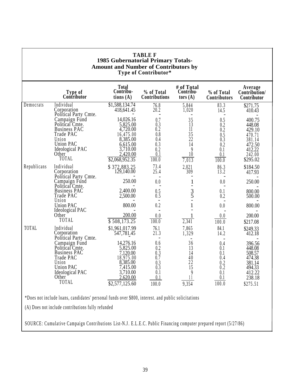|              | Type of<br>Contributor                                                                                                                 | <b>Total</b><br>Contribu-<br>tions $(A)$                                                                         | % of Total<br>Contributions                                                | # of Total<br>Contribu-<br>tors $(A)$                   | % of Total<br>Contributors                                                         | Average<br>Contribution/<br>Contributor                                                  |
|--------------|----------------------------------------------------------------------------------------------------------------------------------------|------------------------------------------------------------------------------------------------------------------|----------------------------------------------------------------------------|---------------------------------------------------------|------------------------------------------------------------------------------------|------------------------------------------------------------------------------------------|
| Democrats    | Individual<br>Corporation<br>Political Party Cmte.                                                                                     | \$1,588,134.74<br>418,641.45                                                                                     | 76.8<br>20.2                                                               | 5,844<br>1,020                                          | 83.3<br>14.5                                                                       | \$271.75<br>410.43                                                                       |
|              | Campaign Fund<br>Political Cmte.<br><b>Business PAC</b><br>Trade PAC<br>Union<br><b>Union PAC</b><br>Ideological PAC                   | 14,026.16<br>5,825.00<br>4,720.00<br>16,475.00<br>8,385.00<br>6,615.00<br>3,710.00                               | 0.7<br>0.3<br>0.2<br>0.8<br>0.4<br>0.3<br>0.2                              | $\frac{35}{13}$<br>11<br>$35$<br>$22$<br>14<br>$\theta$ | $0.5$<br>$0.2$<br>$0.2$<br>$\begin{array}{c} 0.5 \\ 0.3 \\ 0.2 \end{array}$<br>0.1 | 400.75<br>448.08<br>429.10<br>470.71<br>381.14<br>472.50<br>412.22                       |
|              | Other<br>TOTAL                                                                                                                         | 2,420.00<br>\$2,068,952.35                                                                                       | 0.1<br>100.0                                                               | 10 <sup>2</sup><br>7,013                                | 0.1<br>100.0                                                                       | 242.00<br>\$295.02                                                                       |
| Republicans  | Individual<br>Corporation<br>Political Party Cmte.                                                                                     | \$372,883.25<br>129,140.00                                                                                       | 73.4<br>25.4                                                               | 2,021<br>309                                            | 86.3<br>13.2                                                                       | \$184.50<br>417.93                                                                       |
|              | Campaign Fund<br>Political Cmte.                                                                                                       | 250.00                                                                                                           | 0.0                                                                        | $\mathbf{1}$                                            | 0.0                                                                                | 250.00                                                                                   |
|              | <b>Business PAC</b><br>Trade PAC<br>Union                                                                                              | 2,400.00<br>2,500.00                                                                                             | 0.5<br>0.5                                                                 | $\frac{3}{5}$                                           | 0.1<br>0.2                                                                         | 800.00<br>500.00                                                                         |
|              | <b>Union PAC</b><br><b>Ideological PAC</b>                                                                                             | 800.00                                                                                                           | 0.2                                                                        |                                                         | 0.0                                                                                | 800.00                                                                                   |
|              | Other<br>TOTAL                                                                                                                         | 200.00<br>\$508,173.25                                                                                           | 0.0<br>100.0                                                               | 2,341                                                   | 0.0<br>100.0                                                                       | 200.00<br>\$217.08                                                                       |
| <b>TOTAL</b> | Individual<br>Corporation<br>Political Party Cmte.                                                                                     | \$1,961,017.99<br>547,781.45                                                                                     | 76.1<br>21.3                                                               | 7,865<br>1,329                                          | 84.1<br>14.2                                                                       | \$249.33<br>412.18                                                                       |
|              | Campaign Fund<br>Political Cmte.<br><b>Business PAC</b><br>Trade PAC<br>Union<br><b>Union PAC</b><br>Ideological PAC<br>Other<br>TOTAL | 14,276.16<br>5,825.00<br>7,120.00<br>18,975.00<br>8,385.00<br>7,415.00<br>3,710.00<br>2,620.00<br>\$2,577,125.60 | 0.6<br>0.2<br>$\overline{0.3}$<br>0.7<br>0.3<br>0.3<br>0.1<br>0.1<br>100.0 | 36<br>13<br>14<br>$\frac{40}{22}$<br>15<br>9<br>9,354   | 0.4<br>0.1<br>0.1<br>0.4<br>0.2<br>0.2<br>0.1<br>0.1<br>100.0                      | 396.56<br>448.08<br>508.57<br>474.38<br>381.14<br>494.33<br>412.22<br>238.18<br>\$275.51 |

SOURCE: Cumulative Campaign Contributions List-N.J . E.L.E.C. Public Financing computer prepared report (5/27/86)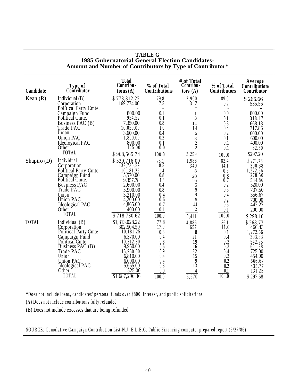| <b>TABLE G</b><br><b>1985 Gubernatorial General Election Candidates-</b><br>Amount and Number of Contributors by Type of Contributor* |                                                                                                                                                                                                                                                                                                                                                                             |                                                                                                                                                                                                                                                              |                                                                                                                                                      |                                                                                                                                                                        |                                                                                                                                                                  |                                                                                                                                                                                                                     |  |  |
|---------------------------------------------------------------------------------------------------------------------------------------|-----------------------------------------------------------------------------------------------------------------------------------------------------------------------------------------------------------------------------------------------------------------------------------------------------------------------------------------------------------------------------|--------------------------------------------------------------------------------------------------------------------------------------------------------------------------------------------------------------------------------------------------------------|------------------------------------------------------------------------------------------------------------------------------------------------------|------------------------------------------------------------------------------------------------------------------------------------------------------------------------|------------------------------------------------------------------------------------------------------------------------------------------------------------------|---------------------------------------------------------------------------------------------------------------------------------------------------------------------------------------------------------------------|--|--|
| Candidate                                                                                                                             | Type of<br>Contributor                                                                                                                                                                                                                                                                                                                                                      | <b>Total</b><br>Contribu-<br>tions(A)                                                                                                                                                                                                                        | % of Total<br>Contributions                                                                                                                          | # of Total<br>Contribu-<br>tors $(A)$                                                                                                                                  | % of Total<br>Contributors                                                                                                                                       | Average<br>Contribution/<br>Contributor                                                                                                                                                                             |  |  |
| Kean(R)                                                                                                                               | Individual $(B)$                                                                                                                                                                                                                                                                                                                                                            | \$773,312.22                                                                                                                                                                                                                                                 | 79.8                                                                                                                                                 | 2,900                                                                                                                                                                  | 89.0                                                                                                                                                             | \$266.66                                                                                                                                                                                                            |  |  |
| Shapiro $(D)$                                                                                                                         | Corporation<br>Political Party Cmte.<br>Campaign Fund<br>Political Cmte.<br>Business PAC (B)<br>Trade PAC<br>Union<br><b>Union PAC</b><br>Ideological PAC<br>Other<br>TOTAL<br>Individual<br>Corporation<br>Political Party Cmte.<br>Campaign Fund<br>Political Cmte.<br><b>Business PAC</b><br>Trade PAC<br>Union<br><b>Union PAC</b><br>Ideological PAC<br>Other<br>TOTAL | 169,774.00<br>800.00<br>954.52<br>7,350.00<br>10,050.00<br>3,600.00<br>1,800.00<br>800.00<br>125.00<br>\$968,565.74<br>\$539,716.00<br>132,730.59<br>10,181.25<br>5,570.00<br>9,357.78<br>2,600.00<br>5,900.00<br>3,210.00<br>4,200.00<br>4,865.00<br>400.00 | 17.5<br>0.1<br>0.1<br>0.8<br>1.0<br>0.4<br>0.2<br>0.1<br>0.0<br>100.0<br>75.1<br>18.5<br>1.4<br>0.8<br>1.3<br>0.4<br>0.8<br>0.4<br>0.6<br>0.7<br>0.1 | 317<br>$\mathbf{1}$<br>3<br>11<br>14<br>6<br>3<br>$\overline{2}$<br>$\sqrt{2}$<br>3,259<br>1,986<br>340<br>8<br>20<br>16<br>5<br>$\,8\,$<br>9<br>6<br>11<br>$\sqrt{2}$ | 9.7<br>0.0<br>0.1<br>0.3<br>0.4<br>0.2<br>0.1<br>0.1<br>0.1<br>100.0<br>82.4<br>14.1<br>0.3<br>$0.8$<br>0.7<br>0.2<br>0.3<br>0.4<br>$\underset{0.5}{0.2}$<br>0.1 | 535.56<br>800.00<br>318.17<br>668.18<br>717.86<br>600.00<br>600.00<br>400.00<br>62.50<br>\$297.20<br>\$271.76<br>390.38<br>1,272.66<br>278.50<br>584.86<br>520.00<br>737.50<br>356.67<br>700.00<br>442.27<br>200.00 |  |  |
| TOTAL                                                                                                                                 | Individual $(B)$<br>Corporation<br>Political Party Cmte.<br>Campaign Fund<br>Political Cmte.<br>Business PAC (B)<br>Trade PAC<br>Union<br><b>Union PAC</b><br><b>Ideological PAC</b><br>Other <sup>-</sup><br>TOTAL                                                                                                                                                         | \$718,730.62<br>\$1,313,028.22<br>302,504.59<br>10,181.25<br>6,370.00<br>10,312.30<br>9,950.00<br>15,950.00<br>6,810.00<br>6,000.00<br>5,665.00<br>$\frac{525.00}{\$1,687,296.36}$                                                                           | 100.0<br>77.8<br>17.9<br>0.6<br>0.4<br>0.6<br>0.6<br>0.9<br>0.4<br>0.4<br>0.3<br>$\frac{0.0}{100.0}$                                                 | 2,411<br>4,886<br>657<br>8<br>21<br>19<br>16<br>$\frac{22}{15}$<br>$\boldsymbol{9}$<br>$1\overline{3}$<br>$\frac{4}{5,670}$                                            | $\overline{100.0}$<br>86.1<br>11.6<br>0.1<br>0.4<br>0.3<br>$0.\overline{3}$<br>0.4<br>0.3<br>0.2<br>0.2<br>$\frac{0.1}{100.0}$                                   | \$298.10<br>\$268.73<br>460.43<br>1,272.66<br>$\begin{array}{c} 303.33 \\ 542.75 \end{array}$<br>621.88<br>725.00<br>454.00<br>666.67<br>435.77<br>131.25<br>\$297.58                                               |  |  |
|                                                                                                                                       | *Does not include loans, candidates' personal funds over \$800, interest, and public solicitations                                                                                                                                                                                                                                                                          |                                                                                                                                                                                                                                                              |                                                                                                                                                      |                                                                                                                                                                        |                                                                                                                                                                  |                                                                                                                                                                                                                     |  |  |
|                                                                                                                                       | (A) Does not include contributions fully refunded                                                                                                                                                                                                                                                                                                                           |                                                                                                                                                                                                                                                              |                                                                                                                                                      |                                                                                                                                                                        |                                                                                                                                                                  |                                                                                                                                                                                                                     |  |  |
| (B) Does not include excesses that are being refunded                                                                                 |                                                                                                                                                                                                                                                                                                                                                                             |                                                                                                                                                                                                                                                              |                                                                                                                                                      |                                                                                                                                                                        |                                                                                                                                                                  |                                                                                                                                                                                                                     |  |  |

 $\mathsf{r}$ 

SOURCE: Cumulative Campaign Contribution List-N.J . E.L.E.C. Public Financing computer prepared report (5/27/86)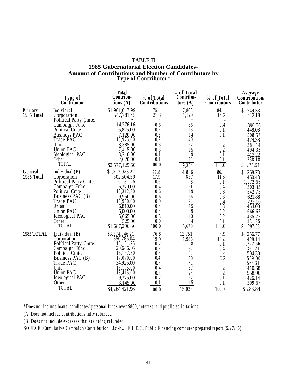|                       | Type of<br>Contributor                                                                                                                                                                          | Total<br>Contribu-<br>tions $(A)$                                                                                                                                 | % of Total<br>Contributions                                                          | # of Total<br>Contribu-<br>tors $(A)$                                                                               | % of Total<br><b>Contributors</b>                                                    | Average<br>Contribution/<br>Contributor                                                                                            |
|-----------------------|-------------------------------------------------------------------------------------------------------------------------------------------------------------------------------------------------|-------------------------------------------------------------------------------------------------------------------------------------------------------------------|--------------------------------------------------------------------------------------|---------------------------------------------------------------------------------------------------------------------|--------------------------------------------------------------------------------------|------------------------------------------------------------------------------------------------------------------------------------|
| Primary<br>1985 Total | Individual<br>Corporation<br>Political Party Cmte.                                                                                                                                              | \$1,961,017.99<br>547,781.45                                                                                                                                      | 76.1<br>21.3                                                                         | 7,865<br>1,329                                                                                                      | 84.1<br>14.2                                                                         | 249.33<br>\$<br>412.18                                                                                                             |
|                       | Campaign Fund<br>Political Cmte.<br><b>Business PAC</b><br>Trade PAC<br>Union<br><b>Union PAC</b><br>Ideological PAC<br>Other<br>TOTAL                                                          | 14,276.16<br>5,825.00<br>7,120.00<br>18,975.00<br>8,385.00<br>7,415.00<br>3,710.00<br>2,620.00<br>\$2,577,125.60                                                  | 0.6<br>0.2<br>$0.3 \ 0.7$<br>0.3<br>$0.\overline{3}$<br>0.1<br>0.1<br>100.0          | 36<br>$\overline{13}$<br>14<br>40<br>22<br>$\overline{15}$<br>9<br>$1\overline{1}$<br>9,354                         | 0.4<br>0.1<br>0.1<br>0.4<br>0.2<br>0.2<br>0.1<br>0.1<br>100.0                        | 396.56<br>448.08<br>508.57<br>474.38<br>381.14<br>494.33<br>412.22<br>238.18<br>275.51<br>S                                        |
| General<br>1985 Total | Individual $(B)$<br>Corporation<br>Political Party Cmte.<br>Campaign Fund<br>Political Cmte.<br>Business PAC (B)<br>Trade PAC<br>Union<br><b>Union PAC</b><br>Ideological PAC<br>Other<br>TOTAL | \$1,313,028.22<br>302,504.59<br>10,181.25<br>6,370.00<br>10,312.30<br>9,950.00<br>15,950.00<br>6,810.00<br>6,000.00<br>5,665.00<br>525.00<br>\$1,687,296.36       | 77.8<br>17.9<br>0.6<br>0.4<br>0.6<br>0.6<br>0.9<br>0.4<br>0.4<br>0.3<br>0.0<br>100.0 | 4,886<br>657<br>8<br>$2\tilde{1}$<br>19<br>16<br>$\frac{22}{15}$<br>9<br>13<br>4<br>5,670                           | 86.1<br>11.6<br>0.1<br>0.4<br>0.3<br>0.3<br>0.4<br>0.3<br>0.2<br>0.2<br>0.1<br>100.0 | \$<br>268.73<br>460.43<br>1,272.66<br>303.33<br>542.75<br>621.88<br>725.00<br>454.00<br>666.67<br>435.77<br>131.25<br>297.58<br>\$ |
| 1985 TOTAL            | Individual $(B)$<br>Corporation<br>Political Party Cmte.<br>Campaign Fund<br>Political Cmte.<br>Business PAC (B)<br>Trade PAC<br>Union<br><b>Union PAC</b><br>Ideological PAC<br>Other<br>TOTAL | \$3,274,046.21<br>850,286.04<br>10,181.25<br>20,646.16<br>16,137.30<br>17,070.00<br>34,925.00<br>15,195.00<br>13,415.00<br>9,375.00<br>3,145.00<br>\$4,264,421.96 | 76.8<br>19.9<br>0.2<br>0.5<br>0.4<br>0.4<br>0.8<br>0.4<br>0.3<br>0.2<br>0.1<br>100.0 | 12,751<br>1,986<br>$rac{8}{57}$<br>$\overline{3}\overline{2}$<br>30<br>$\frac{62}{37}$<br>$\frac{24}{22}$<br>15,024 | 84.9<br>13.2<br>0.1<br>0.4<br>0.2<br>0.2<br>0.4<br>0.2<br>0.2<br>0.1<br>0.1<br>100.0 | \$<br>256.77<br>428.14<br>1,272.66<br>362.21<br>504.30<br>569.00<br>563.31<br>410.68<br>558.96<br>426.14<br>209.67<br>\$283.84     |

**TABLE H**

# (B) Does not include excesses that are being refunded

SOURCE: Cumulative Campaign Contribution List-N.J . E.L.E.C . Public Financing computer prepared report (5/27/86)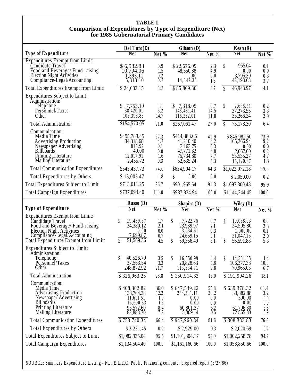#### **TABLE I Comparison of Expenditures by Type of Expenditure (Net) for 1985 Gubernatorial Primary Candidates**

|                                                                                                                                                                                                            | Del Tufo $(D)$                                                                                 |                                                    | Gibson (D)                                                                          |                                                  | Kean $(R)$                                                                            |                                                 |
|------------------------------------------------------------------------------------------------------------------------------------------------------------------------------------------------------------|------------------------------------------------------------------------------------------------|----------------------------------------------------|-------------------------------------------------------------------------------------|--------------------------------------------------|---------------------------------------------------------------------------------------|-------------------------------------------------|
| <b>Type of Expenditure</b>                                                                                                                                                                                 | Net                                                                                            | Net %                                              | <b>Net</b>                                                                          | Net $%$                                          | <b>Net</b>                                                                            | Net %                                           |
| <b>Expenditures Exempt from Limit:</b><br>Candidate Travel<br>Food and Beverage/ Fund-raising<br>Election Night Activities<br>Compliance-Legal/Accounting                                                  | \$6,582.88<br>10,794.06<br>1,393.11<br>5,313.10                                                | 0.9 1.5<br>$0.2 \ 0.7$                             | \$22,676.09<br>48,350.88<br>0.00<br>14,842.33                                       | 2.3<br>$\overline{4.9}$<br>0.0<br>1.5            | 955.04<br>\$<br>0.00<br>3,795.30<br>42,193.63                                         | 0.1<br>0.0<br>0.3<br>3.7                        |
| Total Expenditures Exempt from Limit:                                                                                                                                                                      | \$24,083.15                                                                                    | 3.3                                                | \$85,869.30                                                                         | 8.7                                              | $\boldsymbol{\S}$<br>46,943.97                                                        | 4.1                                             |
| Expenditures Subject to Limit:<br>Administration:<br>Telephone<br>Personnel/Taxes<br>Other                                                                                                                 | 7,753.19<br>38,420.01<br>108,396.85                                                            | 1.1<br>5.2<br>14.7                                 | $$7,318.05$<br>143,481.41<br>116,262.01                                             | 0.7<br>14.5<br>11.8                              | \$<br>2,638.51<br>37,273.55<br>33,266.24                                              | 0.2<br>3.3<br>2.9                               |
| Total Administration                                                                                                                                                                                       | \$154,570.05                                                                                   | 21.0                                               | \$267,061.47                                                                        | 27.0                                             | 73,178.30<br>\$                                                                       | 6.4                                             |
| Communication:<br>Media Time<br><b>Advertising Production</b><br>Newspaper Advertising<br>Billboards<br><b>Printing Literature</b><br>Mailing Literature                                                   | \$495,789.45<br>34,318.68<br>815.97<br>40.00<br>12,017.91<br>2,455.72                          | 67.3<br>4.7<br>0.1<br>0.0<br>1.6<br>0.3            | \$414,388.66<br>41,210.40<br>3,163.75<br>47,771.32<br>75,734.80<br>52,635.24        | 41.9<br>4.2<br>0.3<br>4.8<br>7.7<br>5.3          | \$845,982.50<br>105,366.94<br>0.00<br>2,067.00<br>53,535.27<br>15,120.47              | 73.9<br>9.2<br>0.0<br>0.2<br>4.7<br>1.3         |
| <b>Total Communication Expenditures</b>                                                                                                                                                                    | \$545,437.73                                                                                   | 74.0                                               | \$634,904.17                                                                        | 64.3                                             | \$1,022,072.18                                                                        | 89.3                                            |
| Total Expenditures by Others                                                                                                                                                                               | \$13,003.47                                                                                    | 1.8                                                | 0.00<br>\$                                                                          | 0.0                                              | \$2,050.00                                                                            | 0.2                                             |
| Total Expenditures Subject to Limit                                                                                                                                                                        | \$713,011.25                                                                                   | 96.7                                               | \$901,965.64                                                                        | 91.3                                             | \$1,097,300.48                                                                        | 95.9                                            |
| <b>Total Campaign Expenditures</b>                                                                                                                                                                         | \$737,094.40                                                                                   | 100.0                                              | \$987,834.94                                                                        | 100.0                                            | \$1,144,244.45                                                                        | 100.0                                           |
|                                                                                                                                                                                                            |                                                                                                |                                                    |                                                                                     |                                                  |                                                                                       |                                                 |
| <b>Type of Expenditure</b>                                                                                                                                                                                 | Russo(D)<br><b>Net</b>                                                                         | Net %                                              | Shapiro $(D)$<br><b>Net</b>                                                         | Net %                                            | Wiley $(D)$<br><b>Net</b>                                                             |                                                 |
| <b>Expenditures Exempt from Limit:</b><br>Candidate Travel<br>Food and Beverage/ Fund-raising<br>Election Night Activities                                                                                 | 19,489.37<br>\$<br>24,380.12<br>0.00<br>7.699.87<br>\$<br>$\overline{51,}569.36$               | 1.7<br>2.1<br>0.0<br>0.7<br>4.5                    | 7,722.76<br>\$<br>23,939.97<br>3,034.61<br>24,659.15<br>$\boldsymbol{\S}$           | 0.7<br>2.1<br>0.3<br>2.1<br>5.1                  | 10,038.93<br>\$<br>24,505.80<br>1.000.00<br>21,047.15<br>$\boldsymbol{\S}$            | Net %<br>0.9<br>2.3<br>$\overline{0.1}$         |
| Compliance-Legal/Accounting<br>Total Expenditures Exempt from Limit:<br>Expenditures Subject to Limit:<br>Administration:<br>Telephone<br>Personnel/Taxes<br>Other<br><b>Total Administration</b>          | 40,526.79<br>37,563.54<br>\$<br>248,872.92<br>\$326,963.25                                     | 3.5<br>$3.\overline{3}$<br>21.7<br>28.8            | 59,356.49<br>16,550.99<br>\$<br>20,828.63<br>113,534.71<br>\$150,914.33             | 1.4<br>1.8<br>9.8<br>13.0                        | 56,591.88<br>14,561.85<br>$\mathcal{S}$<br>106,377.38<br>70,965.03<br>\$191,904.26    | $2.0$<br>5.3<br>1.4<br>10.0<br>6.7<br>18.1      |
| Communication:<br>Media Time<br><b>Advertising Production</b><br>Newspaper Advertising<br><b>Billboards</b><br><b>Printing Literature</b><br>Mailing Literature<br><b>Total Communication Expenditures</b> | \$408,302.82<br>138,764.38<br>11,611.51<br>16,600.33<br>95,572.60<br>82,888.70<br>\$753,740.34 | 36.0<br>12.2<br>1.0<br>1.5<br>$8.4$<br>7.2<br>66.4 | \$647,549.22<br>234,301.11<br>0.00<br>0.00<br>60,801.37<br>5,309.14<br>\$947,960.84 | 55.8<br>20.2<br>0.0<br>0.0<br>5.2<br>0.5<br>81.6 | \$639,378.32<br>33,882.88<br>500.00<br>0.00<br>61,706.80<br>72,865.83<br>\$808,333.83 | 60.4<br>3.2<br>0.0<br>0.0<br>5.8<br>6.9<br>76.3 |
| Total Expenditures by Others                                                                                                                                                                               | \$2,231.45                                                                                     | 0.2                                                | \$2,929.00                                                                          | 0.3                                              | \$2,020.69                                                                            | 0.2                                             |
| Total Expenditures Subject to Limit<br><b>Total Campaign Expenditures</b>                                                                                                                                  | \$1,082,935.04<br>$\overline{$1,134,504.40}$                                                   | 95.5<br>100.0                                      | \$1,101,804.17<br>\$1,161,160.66                                                    | 94.9<br>100.0                                    | \$1,002,258.78<br>\$1,058,850.66                                                      | 94.7<br>100.0                                   |

SOURCE: Summary Expenditure Listing - N.J. E.L.E.C . Public Financing computer prepared report (5/27/86)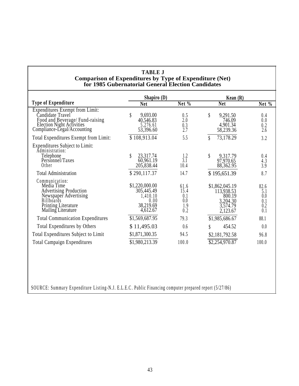| <b>TABLE J</b>                                          |
|---------------------------------------------------------|
| Comparison of Expenditures by Type of Expenditure (Net) |
| for 1985 Gubernatorial General Election Candidates      |

|                                                                                                                                                                 | Shapiro $(D)$                                                             |                                          | Kean $(R)$                                                                 |                                         |
|-----------------------------------------------------------------------------------------------------------------------------------------------------------------|---------------------------------------------------------------------------|------------------------------------------|----------------------------------------------------------------------------|-----------------------------------------|
| <b>Type of Expenditure</b>                                                                                                                                      | <b>Net</b>                                                                | Net $%$                                  | <b>Net</b>                                                                 | Net %                                   |
| <b>Expenditures Exempt from Limit:</b><br>Candidate Travel<br>Food and Beverage/Fund-raising<br>Election Night Activities<br>Compliance-Legal/Accounting        | 9,693.00<br>\$<br>40,546.83<br>5,276.61<br>53,396.60                      | $0.5$<br>$2.0$<br>0.3<br>2.7             | \$<br>9,291.50<br>746.09<br>4,901.34<br>58,239.36                          | 0.4<br>0.0<br>0.2<br>2.6                |
| Total Expenditures Exempt from Limit:                                                                                                                           | \$108,913.04                                                              | 5.5                                      | 73,178.29<br>\$                                                            | 3.2                                     |
| Expenditures Subject to Limit:<br>Administration:<br>Telephone<br>Personnel/Taxes<br>Other                                                                      | 23,317.74<br>60,961.19<br>205,838.44                                      | $\frac{1.2}{3.1}$<br>10.4                | \$<br>9,317.79<br>97,970.65<br>88,362.95                                   | 0.4<br>4.3<br>3.9                       |
| <b>Total Administration</b>                                                                                                                                     | \$290,117.37                                                              | 14.7                                     | \$195,651.39                                                               | 8.7                                     |
| Communication:<br>Media Time<br><b>Advertising Production</b><br>Newspaper Advertising<br><b>Billboards</b><br><b>Printing Literature</b><br>Mailing Literature | \$1,220,000.00<br>305,445.49<br>1,410.10<br>0.00<br>38,219.69<br>4,612.67 | 61.6<br>15.4<br>0.1<br>0.0<br>1.9<br>0.2 | \$1,862,045.19<br>113,938.53<br>800.19<br>3,204.30<br>3,574.79<br>2,123.67 | 82.6<br>5.1<br>0.0<br>0.1<br>0.2<br>0.1 |
| <b>Total Communication Expenditures</b>                                                                                                                         | \$1,569,687.95                                                            | 79.3                                     | \$1,985,686.67                                                             | 88.1                                    |
| Total Expenditures by Others                                                                                                                                    | \$11,495.03                                                               | 0.6                                      | 454.52                                                                     | 0.0                                     |
| Total Expenditures Subject to Limit                                                                                                                             | \$1,871,300.35                                                            | 94.5                                     | \$2,181,792.58                                                             | 96.8                                    |
| <b>Total Campaign Expenditures</b>                                                                                                                              | \$1,980,213.39                                                            | 100.0                                    | \$2,254,970.87                                                             | 100.0                                   |

SOURCE: Summary Expenditure Listing-N.J. E.L.E.C . Public Financing computer prepared report (5/27/86)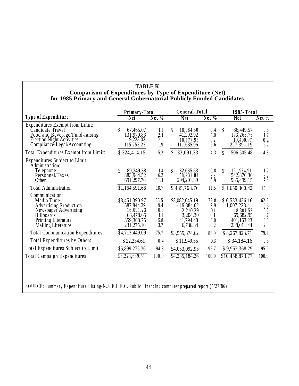#### **TABLE K Comparison of Expenditures by Type of Expenditure (Net) for 1985 Primary and General Gubernatorial Publicly Funded Candidates**

|                                                                                                                                                                 | Primary-Total                                                                        |                                         | General-Total                                                                 |                                         | 1985-Total                                                                           |                                         |  |
|-----------------------------------------------------------------------------------------------------------------------------------------------------------------|--------------------------------------------------------------------------------------|-----------------------------------------|-------------------------------------------------------------------------------|-----------------------------------------|--------------------------------------------------------------------------------------|-----------------------------------------|--|
| <b>Type of Expenditure</b>                                                                                                                                      | <b>Net</b>                                                                           | Net $%$                                 | <b>Net</b>                                                                    | Net %                                   | <b>Net</b>                                                                           | $Net\%$                                 |  |
| <b>Expenditures Exempt from Limit:</b><br>Candidate Travel<br>Food and Beverage/Fund-raising<br><b>Election Night Activities</b><br>Compliance-Legal/Accounting | 67,465.07<br>131,970.83<br>9,223.02<br>115,755.23                                    | 1.1<br>2.1<br>0.1<br>1.9                | 18,984.50<br>\$<br>41,292.92<br>10,177.95<br>111,635.96                       | 0.4<br>1.0<br>0.2<br>2.6                | 86,449.57<br>\$<br>173,263.75<br>19,400.97<br>227, 391.19                            | 0.8<br>1.7<br>0.2<br>2.2                |  |
| Total Expenditures Exempt from Limit:                                                                                                                           | \$324,414.15                                                                         | 5.2                                     | \$182,091.33                                                                  | 4.3                                     | \$<br>506,505.48                                                                     | 4.8                                     |  |
| <b>Expenditures Subject to Limit:</b><br>Administration:<br>Telephone<br>Personnel/Taxes<br>Other                                                               | 89,349.38<br>383,944.52<br>691,297.76                                                | 1.4<br>6.2<br>11.1                      | \$<br>32,635.53<br>158,931.84<br>294,201.39                                   | 0.8<br>3.8<br>6.9                       | 121,984.91<br>\$<br>542,876.36<br>985,499.15                                         | 1.2<br>5.2<br>9.4                       |  |
| <b>Total Administration</b>                                                                                                                                     | \$1,164,591.66                                                                       | 18.7                                    | \$485,768.76                                                                  | 11.5                                    | \$1,650,360.42                                                                       | 15.8                                    |  |
| Communication:<br>Media Time<br><b>Advertising Production</b><br>Newspaper Advertising<br><b>Billboards</b><br>Printing Literature<br>Mailing Literature        | \$3,451,390.97<br>587,844.39<br>16,091.23<br>66,478.65<br>359, 368. 75<br>231,275.10 | 55.5<br>9.4<br>0.3<br>1.1<br>5.8<br>3.7 | \$3,082,045.19<br>419,384.02<br>2,210.29<br>3,204.30<br>41,794.48<br>6,736.34 | 72.8<br>9.9<br>0.1<br>0.1<br>1.0<br>0.2 | \$6,533,436.16<br>1,007,228.41<br>18,301.52<br>69,682.95<br>401,163.23<br>238,011.44 | 62.5<br>9.6<br>0.2<br>0.7<br>3.8<br>2.3 |  |
| <b>Total Communication Expenditures</b>                                                                                                                         | \$4,712,449.09                                                                       | 75.7                                    | \$3,555,374.62                                                                | 83.9                                    | \$8,267,823.71                                                                       | 79.1                                    |  |
| <b>Total Expenditures by Others</b>                                                                                                                             | \$22,234.61                                                                          | 0.4                                     | \$11,949.55                                                                   | 0.3                                     | \$34,184.16                                                                          | 0.3                                     |  |
| Total Expenditures Subject to Limit                                                                                                                             | \$5,899,275.36                                                                       | 94.8                                    | \$4,053,092.93                                                                | 95.7                                    | \$9,952,368.29                                                                       | 95.2                                    |  |
| <b>Total Campaign Expenditures</b>                                                                                                                              | \$6,223,689.51                                                                       | 100.0                                   | \$4,235,184.26                                                                | 100.0                                   | \$10,458,873.77                                                                      | 100.0                                   |  |

SOURCE: Summary Expenditure Listing-N.J . E.L.E.C. Public Financing computer prepared report (5/27/86)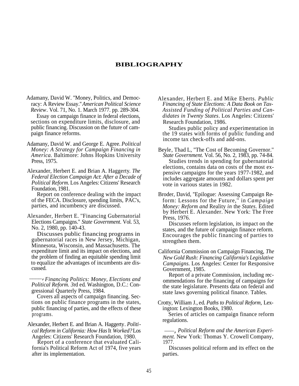#### **BIBLIOGRAPHY**

- *Review*. Vol. 71, No. 1. March 1977. pp. 289-304. Essay on campaign finance in federal elections, sections on expenditure limits, disclosure, and public financing. Discussion on the future of campaign finance reforms.
- Adamany, David W. and George E. Agree. *Political Money: A Strategy for Campaign Financing in America.* Baltimore: Johns Hopkins University Press, 1975.
- Alexander, Herbert E. and Brian A. Haggerty. *The Federal Election Campaign Act*: *After a Decade of Political Reform.* Los Angeles: Citizens' Research Foundation, 1981.

of the FECA. Disclosure, spending limits, PAC's, parties, and incumbency are discussed.

Alexander, Herbert E. "Financing Gubernatorial Press, 1976. Elections Campaigns." *State Government*. Vol. 53, Discusses reform legislation, its impact on the No. 2, 1980, pp. 140-43.

Discusses public financing programs in gubernatorial races in New Jersey, Michigan, Minnesota, Wisconsin, and Massachusetts. The expenditure limit and its impact on elections, and the problem of finding an equitable spending limit to equalize the advantages of incumbents are discussed.

 *Financing Politics: Money, Elections and* \_\_\_\_, *Political Reform. 3*rd ed. Washington, D.C.: Congressional Quarterly Press, 1984.

Covers all aspects of campaign financing. Sections on public finance programs in the states, public financing of parties, and the effects of these programs.

Alexander, Herbert E. and Brian A. Haggerty. *Political Reform in California: How Has* It *Worked?* Los *Political Reform and the American Experi-*\_\_\_,

Report of a conference that evaluated Cali- 1977. fornia's Political Reform Act of 1974, five years after its implementation.

Adamany, David W. "Money, Politics, and Democ-<br>
racy: A Review Essay." *American Political Science*<br> *Financing of State Elections: A Data Book on Tax-*Financing of State Elections: A Data Book on Tax-*Assisted Funding of Political Parties and Candidates in Twenty States*. Los Angeles: Citizens' Research Foundation, 1986.

> Studies public policy and experimentation in the 19 states with forms of public funding and income tax check-offs and add-ons.

- Beyle, Thad L, ''The Cost of Becoming Governor.'' *State Government.* Vol. 56, No. 2, 1983, pp. 74-84. Studies trends in spending for gubernatorial elections, contains data on costs of the most expensive campaigns for the years 1977-1982, and includes aggregate amounts and dollars spent per vote in various states in 1982.
- Report on conference dealing with the impact Broder, David, ''Epilogue: Assessing Campaign Reform: Lessons for the Future,'' in *Campaign Money: Reform and* Reality *in* the *States*. Edited by Herbert E. Alexander. New York: The Free

states, and the future of campaign finance reform. Encourages the public financing of parties to strengthen them.

California Commission on Campaign Financing, *The New Gold Rush: Financing California's Legislative Campaigns.* Los Angeles: Center for Responsive Government, 1985.

Report of a private Commission, including recommendations for the financing of campaigns for the state legislature. Presents data on federal and state laws governing political finance. Tables.

Crotty, William J., ed. *Paths to Political Reform,* Lexington: Lexington Books, 1980.

Series of articles on campaign finance reform regulations. \_\_\_

Angeles: Citizens' Research Foundation, 1980. *ment*. New York: Thomas Y. Crowell Company,

Discusses political reform and its effect on the parties.